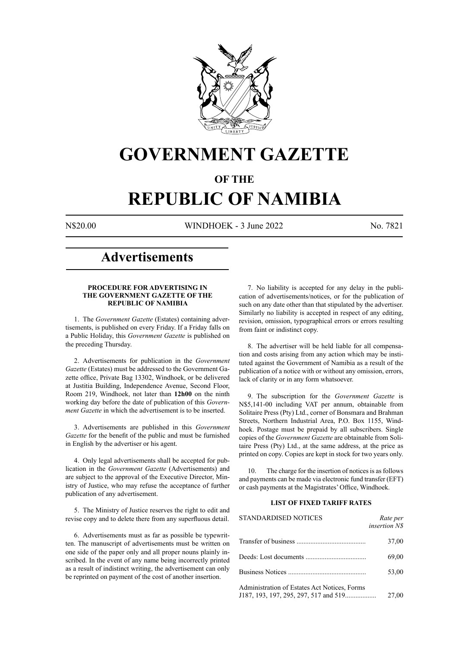

## **GOVERNMENT GAZETTE**

### **OF THE**

## **REPUBLIC OF NAMIBIA**

N\$20.00 WINDHOEK - 3 June 2022 No. 7821

## **Advertisements**

#### **PROCEDURE FOR ADVERTISING IN THE GOVERNMENT GAZETTE OF THE REPUBLIC OF NAMIBIA**

1. The *Government Gazette* (Estates) containing advertisements, is published on every Friday. If a Friday falls on a Public Holiday, this *Government Gazette* is published on the preceding Thursday.

2. Advertisements for publication in the *Government Gazette* (Estates) must be addressed to the Government Gazette office, Private Bag 13302, Windhoek, or be delivered at Justitia Building, Independence Avenue, Second Floor, Room 219, Windhoek, not later than **12h00** on the ninth working day before the date of publication of this *Government Gazette* in which the advertisement is to be inserted.

3. Advertisements are published in this *Government Gazette* for the benefit of the public and must be furnished in English by the advertiser or his agent.

4. Only legal advertisements shall be accepted for publication in the *Government Gazette* (Advertisements) and are subject to the approval of the Executive Director, Ministry of Justice, who may refuse the acceptance of further publication of any advertisement.

5. The Ministry of Justice reserves the right to edit and revise copy and to delete there from any superfluous detail.

6. Advertisements must as far as possible be typewritten. The manuscript of advertisements must be written on one side of the paper only and all proper nouns plainly inscribed. In the event of any name being incorrectly printed as a result of indistinct writing, the advertisement can only be reprinted on payment of the cost of another insertion.

7. No liability is accepted for any delay in the publication of advertisements/notices, or for the publication of such on any date other than that stipulated by the advertiser. Similarly no liability is accepted in respect of any editing, revision, omission, typographical errors or errors resulting from faint or indistinct copy.

8. The advertiser will be held liable for all compensation and costs arising from any action which may be instituted against the Government of Namibia as a result of the publication of a notice with or without any omission, errors, lack of clarity or in any form whatsoever.

9. The subscription for the *Government Gazette* is N\$5,141-00 including VAT per annum, obtainable from Solitaire Press (Pty) Ltd., corner of Bonsmara and Brahman Streets, Northern Industrial Area, P.O. Box 1155, Windhoek. Postage must be prepaid by all subscribers. Single copies of the *Government Gazette* are obtainable from Solitaire Press (Pty) Ltd., at the same address, at the price as printed on copy. Copies are kept in stock for two years only.

10. The charge for the insertion of notices is as follows and payments can be made via electronic fund transfer (EFT) or cash payments at the Magistrates' Office, Windhoek.

#### **LIST OF FIXED TARIFF RATES**

| <b>STANDARDISED NOTICES</b>                  | Rate per<br>insertion N\$ |
|----------------------------------------------|---------------------------|
|                                              | 37,00                     |
|                                              | 69,00                     |
|                                              | 53,00                     |
| Administration of Estates Act Notices, Forms | 27,00                     |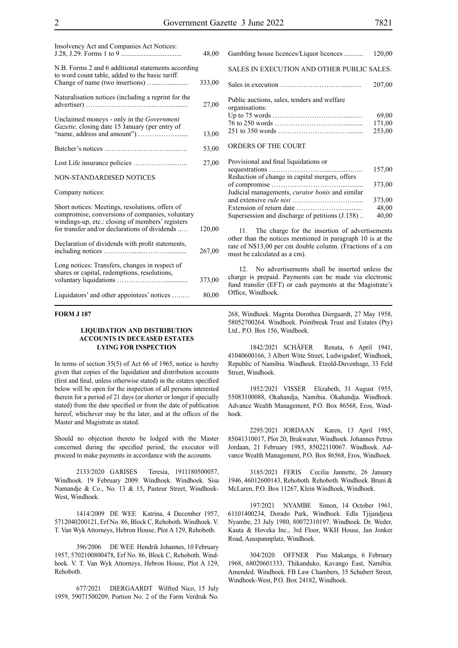| Insolvency Act and Companies Act Notices:                                                                                                                                                               | 48,00  |
|---------------------------------------------------------------------------------------------------------------------------------------------------------------------------------------------------------|--------|
| N.B. Forms 2 and 6 additional statements according<br>to word count table, added to the basic tariff.                                                                                                   | 333,00 |
| Naturalisation notices (including a reprint for the                                                                                                                                                     | 27,00  |
| Unclaimed moneys - only in the Government<br>Gazette, closing date 15 January (per entry of                                                                                                             | 13,00  |
|                                                                                                                                                                                                         | 53,00  |
|                                                                                                                                                                                                         | 27,00  |
| <b>NON-STANDARDISED NOTICES</b>                                                                                                                                                                         |        |
| Company notices:                                                                                                                                                                                        |        |
| Short notices: Meetings, resolutions, offers of<br>compromise, conversions of companies, voluntary<br>windings-up, etc.: closing of members' registers<br>for transfer and/or declarations of dividends | 120,00 |
| Declaration of dividends with profit statements,                                                                                                                                                        | 267,00 |
| Long notices: Transfers, changes in respect of<br>shares or capital, redemptions, resolutions,                                                                                                          | 373,00 |
| Liquidators' and other appointees' notices                                                                                                                                                              | 80,00  |

#### **FORM J 187**

#### **LIQUIDATION AND DISTRIBUTION ACCOUNTS IN DECEASED ESTATES LYING FOR INSPECTION**

In terms of section 35(5) of Act 66 of 1965, notice is hereby given that copies of the liquidation and distribution accounts (first and final, unless otherwise stated) in the estates specified below will be open for the inspection of all persons interested therein for a period of 21 days (or shorter or longer if specially stated) from the date specified or from the date of publication hereof, whichever may be the later, and at the offices of the Master and Magistrate as stated.

Should no objection thereto be lodged with the Master concerned during the specified period, the executor will proceed to make payments in accordance with the accounts.

2133/2020 GARISES Teresia, 1911180500057, Windhoek. 19 February 2009. Windhoek. Windhoek. Sisa Namandje & Co., No. 13 & 15, Pasteur Street, Windhoek-West, Windhoek.

1414/2009 DE WEE Katrina, 4 December 1957, 5712040200121, Erf No. 86, Block C, Rehoboth. Windhoek. V. T. Van Wyk Attorneys, Hebron House, Plot A 129, Rehoboth.

396/2006 DE WEE Hendrik Johannes, 10 February 1957, 5702100800478, Erf No. 86, Block C, Rehoboth. Windhoek. V. T. Van Wyk Attorneys, Hebron House, Plot A 129, Rehoboth.

677/2021 DIERGAARDT Wilfred Nico, 15 July 1959, 59071500209, Portion No. 2 of the Farm Verdruk No.

| Gambling house licences/Liquor licences                       | 120,00 |
|---------------------------------------------------------------|--------|
| SALES IN EXECUTION AND OTHER PUBLIC SALES:                    |        |
|                                                               | 207,00 |
| Public auctions, sales, tenders and welfare<br>organisations: |        |
|                                                               | 69,00  |
|                                                               | 171,00 |
|                                                               | 253,00 |
| ORDERS OF THE COURT                                           |        |
| Provisional and final liquidations or                         |        |
|                                                               | 157,00 |
| Reduction of change in capital mergers, offers                |        |
| Judicial managements, curator bonis and similar               | 373,00 |
|                                                               |        |

The charge for the insertion of advertisements other than the notices mentioned in paragraph 10 is at the rate of N\$13,00 per cm double column. (Fractions of a cm must be calculated as a cm).

and extensive *rule nisi* …………………….….... 373,00 Extension of return date ………………….......... 48,00

Supersession and discharge of petitions  $(J.158)$ ..  $40,00$ 

12. No advertisements shall be inserted unless the charge is prepaid. Payments can be made via electronic fund transfer (EFT) or cash payments at the Magistrate's Office, Windhoek.

268, Windhoek. Magrita Dorothea Diergaardt, 27 May 1958, 58052700264. Windhoek. Pointbreak Trust and Estates (Pty) Ltd., P.O. Box 156, Windhoek.

1842/2021 SCHÄFER Renata, 6 April 1941, 41040600166, 3 Albert Witte Street, Ludwigsdorf, Windhoek, Republic of Namibia. Windhoek. Etzold-Duvenhage, 33 Feld Street, Windhoek.

1952/2021 VISSER Elizabeth, 31 August 1955, 55083100088, Okahandja, Namibia. Okahandja. Windhoek. Advance Wealth Management, P.O. Box 86568, Eros, Windhoek.

2295/2021 JORDAAN Karen, 13 April 1985, 85041310017, Plot 20, Brakwater, Windhoek. Johannes Petrus Jordaan, 21 February 1985, 85022110067. Windhoek. Advance Wealth Management, P.O. Box 86568, Eros, Windhoek.

3185/2021 FERIS Cecilia Jannette, 26 January 1946, 46012600143, Rehoboth. Rehoboth. Windhoek. Bruni & McLaren, P.O. Box 11267, Klein Windhoek, Windhoek.

197/2021 NYAMBE Simon, 14 October 1961, 61101400234, Dorado Park, Windhoek. Edla Tjijandjeua Nyambe, 23 July 1980, 80072310197. Windhoek. Dr. Weder, Kauta & Hoveka Inc., 3rd Floor, WKH House, Jan Jonker Road, Ausspannplatz, Windhoek.

304/2020 OFFNER Pius Makanga, 6 February 1968, 68020601333, Thikanduko, Kavango East, Namibia. Amended. Windhoek. FB Law Chambers, 35 Schubert Street, Windhoek-West, P.O. Box 24182, Windhoek.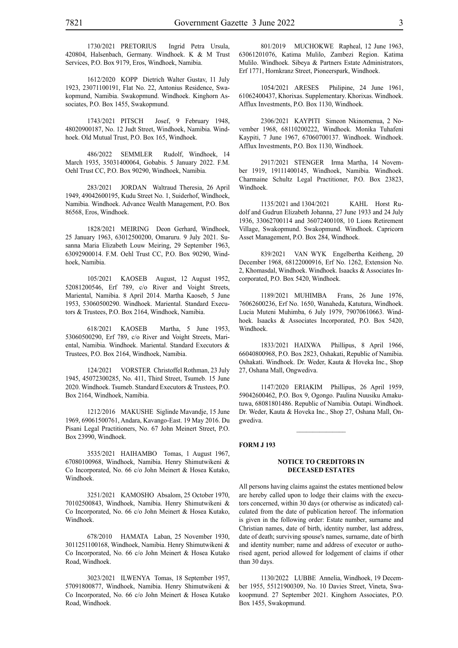1730/2021 PRETORIUS Ingrid Petra Ursula, 420804, Halsenbach, Germany. Windhoek. K & M Trust Services, P.O. Box 9179, Eros, Windhoek, Namibia.

1612/2020 KOPP Dietrich Walter Gustav, 11 July 1923, 23071100191, Flat No. 22, Antonius Residence, Swakopmund, Namibia. Swakopmund. Windhoek. Kinghorn Associates, P.O. Box 1455, Swakopmund.

1743/2021 PITSCH Josef, 9 February 1948, 48020900187, No. 12 Judt Street, Windhoek, Namibia. Windhoek. Old Mutual Trust, P.O. Box 165, Windhoek.

486/2022 SEMMLER Rudolf, Windhoek, 14 March 1935, 35031400064, Gobabis. 5 January 2022. F.M. Oehl Trust CC, P.O. Box 90290, Windhoek, Namibia.

283/2021 JORDAN Waltraud Theresia, 26 April 1949, 49042600195, Kudu Street No. 1, Suiderhof, Windhoek, Namibia. Windhoek. Advance Wealth Management, P.O. Box 86568, Eros, Windhoek.

1828/2021 MEIRING Deon Gerhard, Windhoek, 25 January 1963, 63012500200, Omaruru. 9 July 2021. Susanna Maria Elizabeth Louw Meiring, 29 September 1963, 63092900014. F.M. Oehl Trust CC, P.O. Box 90290, Windhoek, Namibia.

105/2021 KAOSEB August, 12 August 1952, 52081200546, Erf 789, c/o River and Voight Streets, Mariental, Namibia. 8 April 2014. Martha Kaoseb, 5 June 1953, 53060500290. Windhoek. Mariental. Standard Executors & Trustees, P.O. Box 2164, Windhoek, Namibia.

618/2021 KAOSEB Martha, 5 June 1953, 53060500290, Erf 789, c/o River and Voight Streets, Mariental, Namibia. Windhoek. Mariental. Standard Executors & Trustees, P.O. Box 2164, Windhoek, Namibia.

124/2021 VORSTER Christoffel Rothman, 23 July 1945, 45072300285, No. 411, Third Street, Tsumeb. 15 June 2020. Windhoek. Tsumeb. Standard Executors & Trustees, P.O. Box 2164, Windhoek, Namibia.

1212/2016 MAKUSHE Siglinde Mavandje, 15 June 1969, 69061500761, Andara, Kavango-East. 19 May 2016. Du Pisani Legal Practitioners, No. 67 John Meinert Street, P.O. Box 23990, Windhoek.

3535/2021 HAIHAMBO Tomas, 1 August 1967, 67080100968, Windhoek, Namibia. Henry Shimutwikeni & Co Incorporated, No. 66 c/o John Meinert & Hosea Kutako, Windhoek.

3251/2021 KAMOSHO Absalom, 25 October 1970, 70102500843, Windhoek, Namibia. Henry Shimutwikeni & Co Incorporated, No. 66 c/o John Meinert & Hosea Kutako, Windhoek.

678/2010 HAMATA Laban, 25 November 1930, 3011251100168, Windhoek, Namibia. Henry Shimutwikeni & Co Incorporated, No. 66 c/o John Meinert & Hosea Kutako Road, Windhoek.

3023/2021 ILWENYA Tomas, 18 September 1957, 57091800877, Windhoek, Namibia. Henry Shimutwikeni & Co Incorporated, No. 66 c/o John Meinert & Hosea Kutako Road, Windhoek.

801/2019 MUCHOKWE Rapheal, 12 June 1963, 63061201076, Katima Mulilo, Zambezi Region. Katima Mulilo. Windhoek. Sibeya & Partners Estate Administrators, Erf 1771, Hornkranz Street, Pioneerspark, Windhoek.

1054/2021 ARESES Philipine, 24 June 1961, 61062400437, Khorixas. Supplementary. Khorixas. Windhoek. Afflux Investments, P.O. Box 1130, Windhoek.

2306/2021 KAYPITI Simeon Nkinomenua, 2 November 1968, 68110200222, Windhoek. Monika Tuhafeni Kaypiti, 7 June 1967, 67060700137. Windhoek. Windhoek. Afflux Investments, P.O. Box 1130, Windhoek.

2917/2021 STENGER Irma Martha, 14 November 1919, 19111400145, Windhoek, Namibia. Windhoek. Charmaine Schultz Legal Practitioner, P.O. Box 23823, Windhoek.

1135/2021 and 1304/2021 KAHL Horst Rudolf and Gudrun Elizabeth Johanna, 27 June 1933 and 24 July 1936, 33062700114 and 36072400108, 10 Lions Retirement Village, Swakopmund. Swakopmund. Windhoek. Capricorn Asset Management, P.O. Box 284, Windhoek.

839/2021 VAN WYK Engelbertha Keitheng, 20 December 1968, 68122000916, Erf No. 1262, Extension No. 2, Khomasdal, Windhoek. Windhoek. Isaacks & Associates Incorporated, P.O. Box 5420, Windhoek.

1189/2021 MUHIMBA Frans, 26 June 1976, 76062600236, Erf No. 1650, Wanaheda, Katutura, Windhoek. Lucia Muteni Muhimba, 6 July 1979, 79070610663. Windhoek. Isaacks & Associates Incorporated, P.O. Box 5420, Windhoek.

1833/2021 HAIXWA Phillipus, 8 April 1966, 66040800968, P.O. Box 2823, Oshakati, Republic of Namibia. Oshakati. Windhoek. Dr. Weder, Kauta & Hoveka Inc., Shop 27, Oshana Mall, Ongwediva.

1147/2020 ERIAKIM Phillipus, 26 April 1959, 59042600462, P.O. Box 9, Ogongo. Paulina Nuusiku Amakutuwa, 68081801486. Republic of Namibia. Outapi. Windhoek. Dr. Weder, Kauta & Hoveka Inc., Shop 27, Oshana Mall, Ongwediva.

#### **FORM J 193**

#### **NOTICE TO CREDITORS IN DECEASED ESTATES**

All persons having claims against the estates mentioned below are hereby called upon to lodge their claims with the executors concerned, within 30 days (or otherwise as indicated) calculated from the date of publication hereof. The information is given in the following order: Estate number, surname and Christian names, date of birth, identity number, last address, date of death; surviving spouse's names, surname, date of birth and identity number; name and address of executor or authorised agent, period allowed for lodgement of claims if other than 30 days.

1130/2022 LUBBE Annelia, Windhoek, 19 December 1955, 55121900309, No. 10 Davies Street, Vineta, Swakoopmund. 27 September 2021. Kinghorn Associates, P.O. Box 1455, Swakopmund.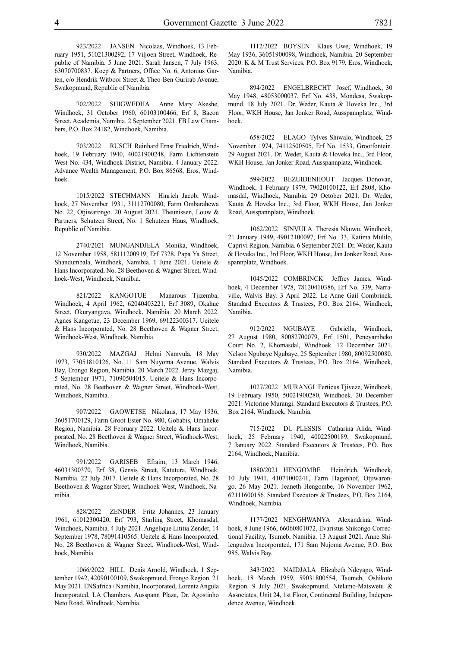923/2022 JANSEN Nicolaas, Windhoek, 13 February 1951, 51021300292, 17 Viljoen Street, Windhoek, Republic of Namibia. 5 June 2021. Sarah Jansen, 7 July 1963, 63070700837. Koep & Partners, Office No. 6, Antonius Garten, c/o Hendrik Witbooi Street & Theo-Ben Gurirab Avenue, Swakopmund, Republic of Namibia.

702/2022 SHIGWEDHA Anne Mary Akeshe, Windhoek, 31 October 1960, 60103100466, Erf 8, Bacon Street, Academia, Namibia. 2 September 2021. FB Law Chambers, P.O. Box 24182, Windhoek, Namibia.

703/2022 RUSCH Reinhard Ernst Friedrich, Windhoek, 19 February 1940, 40021900248, Farm Lichtenstein West No. 434, Windhoek District, Namibia. 4 January 2022. Advance Wealth Management, P.O. Box 86568, Eros, Windhoek.

1015/2022 STECHMANN Hinrich Jacob, Windhoek, 27 November 1931, 31112700080, Farm Ombarahewa No. 22, Otjiwarongo. 20 August 2021. Theunissen, Louw & Partners, Schutzen Street, No. 1 Schutzen Haus, Windhoek, Republic of Namibia.

2740/2021 MUNGANDJELA Monika, Windhoek, 12 November 1958, 58111200919, Erf 7328, Papa Ya Street, Shandumbala, Windhoek, Namibia. 1 June 2021. Ueitele & Hans Incorporated, No. 28 Beethoven & Wagner Street, Windhoek-West, Windhoek, Namibia.

821/2022 KANGOTUE Manarous Tjizemba, Windhoek, 4 April 1962, 62040403221, Erf 3089, Okahue Street, Okuryangava, Windhoek, Namibia. 20 March 2022. Agnes Kangotue, 23 December 1969, 69122300317. Ueitele & Hans Incorporated, No. 28 Beethoven & Wagner Street, Windhoek-West, Windhoek, Namibia.

930/2022 MAZGAJ Helmi Namvula, 18 May 1973, 73051810126, No. 11 Sam Nuyoma Avenue, Walvis Bay, Erongo Region, Namibia. 20 March 2022. Jerzy Mazgaj, 5 September 1971, 71090504015. Ueitele & Hans Incorporated, No. 28 Beethoven & Wagner Street, Windhoek-West, Windhoek, Namibia.

907/2022 GAOWETSE Nikolaus, 17 May 1936, 36051700129, Farm Groot Ester No. 980, Gobabis, Omaheke Region, Namibia. 28 February 2022. Ueitele & Hans Incorporated, No. 28 Beethoven & Wagner Street, Windhoek-West, Windhoek, Namibia.

991/2022 GARISEB Efraim, 13 March 1946, 46031300370, Erf 38, Gensis Street, Katutura, Windhoek, Namibia. 22 July 2017. Ueitele & Hans Incorporated, No. 28 Beethoven & Wagner Street, Windhoek-West, Windhoek, Namibia.

828/2022 ZENDER Fritz Johannes, 23 January 1961, 61012300420, Erf 793, Starling Street, Khomasdal, Windhoek, Namibia. 4 July 2021. Angelique Lititia Zender, 14 September 1978, 78091410565. Ueitele & Hans Incorporated, No. 28 Beethoven & Wagner Street, Windhoek-West, Windhoek, Namibia.

1066/2022 HILL Denis Arnold, Windhoek, 1 September 1942, 42090100109, Swakopmund, Erongo Region. 21 May 2021. ENSafrica / Namibia, Incorporated, Lorentz Angula Incorporated, LA Chambers, Ausspann Plaza, Dr. Agostinho Neto Road, Windhoek, Namibia.

1112/2022 BOYSEN Klaus Uwe, Windhoek, 19 May 1936, 36051900098, Windhoek, Namibia. 20 September 2020. K & M Trust Services, P.O. Box 9179, Eros, Windhoek, Namibia.

894/2022 ENGELBRECHT Josef, Windhoek, 30 May 1948, 48053000037, Erf No. 438, Mondesa, Swakopmund. 18 July 2021. Dr. Weder, Kauta & Hoveka Inc., 3rd Floor, WKH House, Jan Jonker Road, Ausspannplatz, Windhoek.

658/2022 ELAGO Tylves Shiwalo, Windhoek, 25 November 1974, 74112500505, Erf No. 1533, Grootfontein. 29 August 2021. Dr. Weder, Kauta & Hoveka Inc., 3rd Floor, WKH House, Jan Jonker Road, Ausspannplatz, Windhoek.

599/2022 BEZUIDENHOUT Jacques Donovan, Windhoek, 1 February 1979, 79020100122, Erf 2808, Khomasdal, Windhoek, Namibia. 29 October 2021. Dr. Weder, Kauta & Hoveka Inc., 3rd Floor, WKH House, Jan Jonker Road, Ausspannplatz, Windhoek.

1062/2022 SINVULA Theresia Nkuwu, Windhoek, 21 January 1949, 49012100097, Erf No. 33, Katima Mulilo, Caprivi Region, Namibia. 6 September 2021. Dr. Weder, Kauta & Hoveka Inc., 3rd Floor, WKH House, Jan Jonker Road, Ausspannplatz, Windhoek.

1045/2022 COMBRINCK Jeffrey James, Windhoek, 4 December 1978, 78120410386, Erf No. 339, Narraville, Walvis Bay. 3 April 2022. Le-Anne Gail Combrinck. Standard Executors & Trustees, P.O. Box 2164, Windhoek, Namibia.

912/2022 NGUBAYE Gabriella, Windhoek, 27 August 1980, 80082700079, Erf 1501, Peneyambeko Court No. 2, Khomasdal, Windhoek. 12 December 2021. Nelson Ngubaye Ngubaye, 25 September 1980, 80092500080. Standard Executors & Trustees, P.O. Box 2164, Windhoek, Namibia.

1027/2022 MURANGI Ferticus Tjiveze, Windhoek, 19 February 1950, 50021900280, Windhoek. 20 December 2021. Victorine Murangi. Standard Executors & Trustees, P.O. Box 2164, Windhoek, Namibia.

715/2022 DU PLESSIS Catharina Alida, Windhoek, 25 February 1940, 40022500189, Swakopmund. 7 January 2022. Standard Executors & Trustees, P.O. Box 2164, Windhoek, Namibia.

1880/2021 HENGOMBE Heindrich, Windhoek, 10 July 1941, 41071000241, Farm Hagenhof, Otjiwarongo. 26 May 2021. Jeaneth Hengombe, 16 November 1962, 62111600156. Standard Executors & Trustees, P.O. Box 2164, Windhoek, Namibia.

1177/2022 NENGHWANYA Alexandrina, Windhoek, 8 June 1966, 66060801072, Evaristus Shikongo Correctional Facility, Tsumeb, Namibia. 13 August 2021. Anne Shilengudwa Incorporated, 171 Sam Nujoma Avenue, P.O. Box 985, Walvis Bay.

343/2022 NAIDJALA Elizabeth Ndeyapo, Windhoek, 18 March 1959, 59031800554, Tsumeb, Oshikoto Region. 9 July 2021. Swakopmund. Ntelamo-Matswetu & Associates, Unit 24, 1st Floor, Continental Building, Independence Avenue, Windhoek.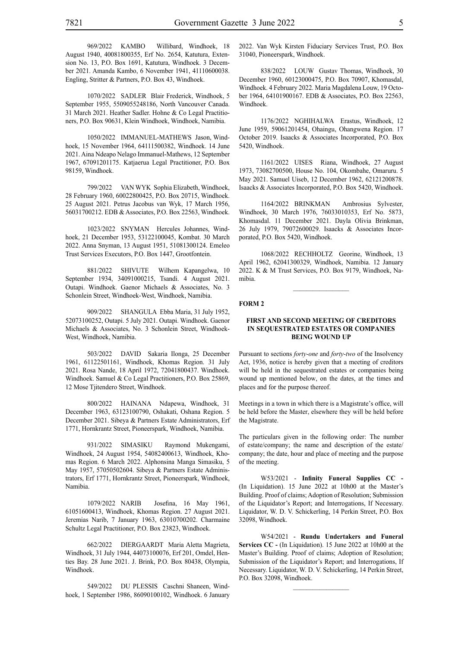969/2022 KAMBO Willibard, Windhoek, 18 August 1940, 40081800355, Erf No. 2654, Katutura, Extension No. 13, P.O. Box 1691, Katutura, Windhoek. 3 December 2021. Amanda Kambo, 6 November 1941, 41110600038. Engling, Stritter & Partners, P.O. Box 43, Windhoek.

1070/2022 SADLER Blair Frederick, Windhoek, 5 September 1955, 5509055248186, North Vancouver Canada. 31 March 2021. Heather Sadler. Hohne & Co Legal Practitioners, P.O. Box 90631, Klein Windhoek, Windhoek, Namibia.

1050/2022 IMMANUEL-MATHEWS Jason, Windhoek, 15 November 1964, 64111500382, Windhoek. 14 June 2021. Aina Ndeapo Nelago Immanuel-Mathews, 12 September 1967, 67091201175. Katjaerua Legal Practitioner, P.O. Box 98159, Windhoek.

799/2022 VAN WYK Sophia Elizabeth, Windhoek, 28 February 1960, 60022800425, P.O. Box 20715, Windhoek. 25 August 2021. Petrus Jacobus van Wyk, 17 March 1956, 56031700212. EDB & Associates, P.O. Box 22563, Windhoek.

1023/2022 SNYMAN Hercules Johannes, Windhoek, 21 December 1953, 53122100045, Kombat. 30 March 2022. Anna Snyman, 13 August 1951, 51081300124. Emeleo Trust Services Executors, P.O. Box 1447, Grootfontein.

881/2022 SHIVUTE Wilhem Kapangelwa, 10 September 1934, 34091000215, Tsandi. 4 August 2021. Outapi. Windhoek. Gaenor Michaels & Associates, No. 3 Schonlein Street, Windhoek-West, Windhoek, Namibia.

909/2022 SHANGULA Ebba Maria, 31 July 1952, 52073100252, Outapi. 5 July 2021. Outapi. Windhoek. Gaenor Michaels & Associates, No. 3 Schonlein Street, Windhoek-West, Windhoek, Namibia.

503/2022 DAVID Sakaria Ilonga, 25 December 1961, 61122501161, Windhoek, Khomas Region. 31 July 2021. Rosa Nande, 18 April 1972, 72041800437. Windhoek. Windhoek. Samuel & Co Legal Practitioners, P.O. Box 25869, 12 Mose Tjitendero Street, Windhoek.

800/2022 HAINANA Ndapewa, Windhoek, 31 December 1963, 63123100790, Oshakati, Oshana Region. 5 December 2021. Sibeya & Partners Estate Administrators, Erf 1771, Hornkrantz Street, Pioneerspark, Windhoek, Namibia.

931/2022 SIMASIKU Raymond Mukengami, Windhoek, 24 August 1954, 54082400613, Windhoek, Khomas Region. 6 March 2022. Alphonsina Manga Simasiku, 5 May 1957, 57050502604. Sibeya & Partners Estate Administrators, Erf 1771, Hornkrantz Street, Pioneerspark, Windhoek, Namibia.

1079/2022 NARIB Josefina, 16 May 1961, 61051600413, Windhoek, Khomas Region. 27 August 2021. Jeremias Narib, 7 January 1963, 63010700202. Charmaine Schultz Legal Practitioner, P.O. Box 23823, Windhoek.

662/2022 DIERGAARDT Maria Aletta Magrieta, Windhoek, 31 July 1944, 44073100076, Erf 201, Omdel, Henties Bay. 28 June 2021. J. Brink, P.O. Box 80438, Olympia, Windhoek.

549/2022 DU PLESSIS Caschni Shaneen, Windhoek, 1 September 1986, 86090100102, Windhoek. 6 January 2022. Van Wyk Kirsten Fiduciary Services Trust, P.O. Box 31040, Pioneerspark, Windhoek.

838/2022 LOUW Gustav Thomas, Windhoek, 30 December 1960, 60123000475, P.O. Box 70907, Khomasdal, Windhoek. 4 February 2022. Maria Magdalena Louw, 19 October 1964, 64101900167. EDB & Associates, P.O. Box 22563, Windhoek.

1176/2022 NGHIHALWA Erastus, Windhoek, 12 June 1959, 59061201454, Ohaingu, Ohangwena Region. 17 October 2019. Isaacks & Associates Incorporated, P.O. Box 5420, Windhoek.

1161/2022 UISES Riana, Windhoek, 27 August 1973, 73082700500, House No. 104, Okombahe, Omaruru. 5 May 2021. Samuel Uiseb, 12 December 1962, 62121200878. Isaacks & Associates Incorporated, P.O. Box 5420, Windhoek.

1164/2022 BRINKMAN Ambrosius Sylvester, Windhoek, 30 March 1976, 76033010353, Erf No. 5873, Khomasdal. 11 December 2021. Dayla Olivia Brinkman, 26 July 1979, 79072600029. Isaacks & Associates Incorporated, P.O. Box 5420, Windhoek.

1068/2022 RECHHOLTZ Georine, Windhoek, 13 April 1962, 62041300329, Windhoek, Namibia. 12 January 2022. K & M Trust Services, P.O. Box 9179, Windhoek, Namibia.

#### **FORM 2**

#### **FIRST AND SECOND MEETING OF CREDITORS IN SEQUESTRATED ESTATES OR COMPANIES BEING WOUND UP**

Pursuant to sections *forty-one* and *forty-two* of the Insolvency Act, 1936, notice is hereby given that a meeting of creditors will be held in the sequestrated estates or companies being wound up mentioned below, on the dates, at the times and places and for the purpose thereof.

Meetings in a town in which there is a Magistrate's office, will be held before the Master, elsewhere they will be held before the Magistrate.

The particulars given in the following order: The number of estate/company; the name and description of the estate/ company; the date, hour and place of meeting and the purpose of the meeting.

W53/2021 - **Infinity Funeral Supplies CC -** (In Liquidation). 15 June 2022 at 10h00 at the Master's Building. Proof of claims; Adoption of Resolution; Submission of the Liquidator's Report; and Interrogations, If Necessary. Liquidator, W. D. V. Schickerling, 14 Perkin Street, P.O. Box 32098, Windhoek.

W54/2021 - **Rundu Undertakers and Funeral Services CC** - (In Liquidation). 15 June 2022 at 10h00 at the Master's Building. Proof of claims; Adoption of Resolution; Submission of the Liquidator's Report; and Interrogations, If Necessary. Liquidator, W. D. V. Schickerling, 14 Perkin Street, P.O. Box 32098, Windhoek.

 $\frac{1}{2}$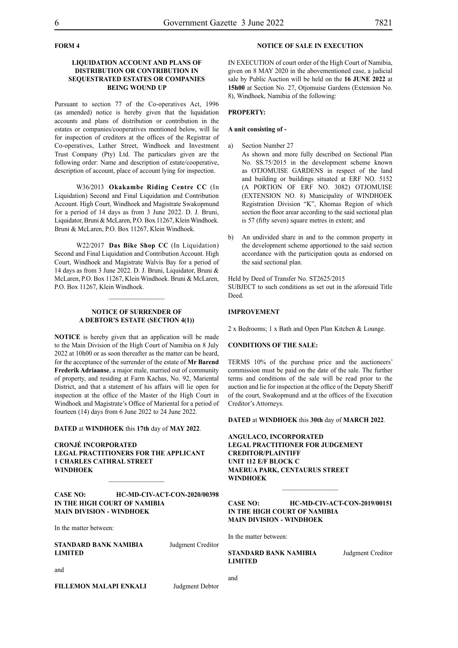#### **FORM 4**

#### **LIQUIDATION ACCOUNT AND PLANS OF DISTRIBUTION OR CONTRIBUTION IN SEQUESTRATED ESTATES OR COMPANIES BEING WOUND UP**

Pursuant to section 77 of the Co-operatives Act, 1996 (as amended) notice is hereby given that the liquidation accounts and plans of distribution or contribution in the estates or companies/cooperatives mentioned below, will lie for inspection of creditors at the offices of the Registrar of Co-operatives, Luther Street, Windhoek and Investment Trust Company (Pty) Ltd. The particulars given are the following order: Name and description of estate/cooperative, description of account, place of account lying for inspection.

W36/2013 **Okakambe Riding Centre CC** (In Liquidation) Second and Final Liquidation and Contribution Account. High Court, Windhoek and Magistrate Swakopmund for a period of 14 days as from 3 June 2022. D. J. Bruni, Liquidator, Bruni & McLaren, P.O. Box 11267, Klein Windhoek. Bruni & McLaren, P.O. Box 11267, Klein Windhoek.

W22/2017 **Das Bike Shop CC** (In Liquidation) Second and Final Liquidation and Contribution Account. High Court, Windhoek and Magistrate Walvis Bay for a period of 14 days as from 3 June 2022. D. J. Bruni, Liquidator, Bruni & McLaren, P.O. Box 11267, Klein Windhoek. Bruni & McLaren, P.O. Box 11267, Klein Windhoek.

#### **NOTICE OF SURRENDER OF A DEBTOR'S ESTATE (SECTION 4(1))**

 $\frac{1}{2}$ 

**NOTICE** is hereby given that an application will be made to the Main Division of the High Court of Namibia on 8 July 2022 at 10h00 or as soon thereafter as the matter can be heard, for the acceptance of the surrender of the estate of **Mr Barend Frederik Adriaanse**, a major male, married out of community of property, and residing at Farm Kachas, No. 92, Mariental District, and that a statement of his affairs will lie open for inspection at the office of the Master of the High Court in Windhoek and Magistrate's Office of Mariental for a period of fourteen (14) days from 6 June 2022 to 24 June 2022.

**DATED** at **WINDHOEK** this **17th** day of **MAY 2022**.

**CRONJÉ INCORPORATED LEGAL PRACTITIONERS FOR THE APPLICANT 1 CHARLES CATHRAL STREET WINDHOEK**

#### **CASE NO: HC-MD-CIV-ACT-CON-2020/00398 IN THE HIGH COURT OF NAMIBIA MAIN DIVISION - WINDHOEK**

 $\frac{1}{2}$ 

In the matter between:

**STANDARD BANK NAMIBIA** Judgment Creditor **LIMITED**

and

**FILLEMON MALAPI ENKALI** Judgment Debtor

#### **NOTICE OF SALE IN EXECUTION**

IN EXECUTION of court order of the High Court of Namibia, given on 8 MAY 2020 in the abovementioned case, a judicial sale by Public Auction will be held on the **16 JUNE 2022** at **15h00** at Section No. 27, Otjomuise Gardens (Extension No. 8), Windhoek, Namibia of the following:

#### **PROPERTY:**

#### **A unit consisting of -**

- a) Section Number 27
	- As shown and more fully described on Sectional Plan No. SS.75/2015 in the development scheme known as OTJOMUISE GARDENS in respect of the land and building or buildings situated at ERF NO. 5152 (A PORTION OF ERF NO. 3082) OTJOMUISE (EXTENSION NO. 8) Municipality of WINDHOEK Registration Division "K", Khomas Region of which section the floor arear according to the said sectional plan is 57 (fifty seven) square metres in extent; and
- b) An undivided share in and to the common property in the development scheme apportioned to the said section accordance with the participation qouta as endorsed on the said sectional plan.

Held by Deed of Transfer No. ST2625/2015 SUBJECT to such conditions as set out in the aforesaid Title Deed.

#### **IMPROVEMENT**

2 x Bedrooms; 1 x Bath and Open Plan Kitchen & Lounge.

#### **CONDITIONS OF THE SALE:**

TERMS 10% of the purchase price and the auctioneers' commission must be paid on the date of the sale. The further terms and conditions of the sale will be read prior to the auction and lie for inspection at the office of the Deputy Sheriff of the court, Swakopmund and at the offices of the Execution Creditor's Attorneys.

**DATED** at **WINDHOEK** this **30th** day of **MARCH 2022**.

**ANGULACO, INCORPORATED LEGAL PRACTITIONER FOR JUDGEMENT CREDITOR/PLAINTIFF UNIT 112 E/F BLOCK C MAERUA PARK, CENTAURUS STREET WINDHOEK**

**CASE NO: HC-MD-CIV-ACT-CON-2019/00151 IN THE HIGH COURT OF NAMIBIA MAIN DIVISION - WINDHOEK**

 $\mathcal{L}_\text{max}$ 

In the matter between:

**STANDARD BANK NAMIBIA** Judgment Creditor **LIMITED**

and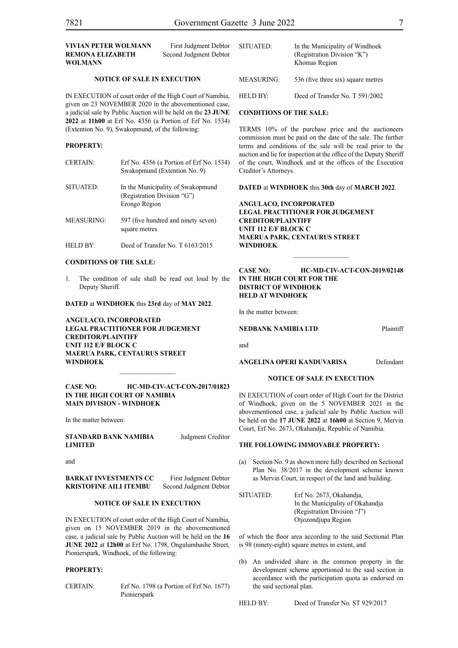| VIVIAN PETER WOLMANN<br><b>REMONA ELIZABETH</b><br>WOLMANN                                                         | First Judgment Debtor<br>Second Judgment Debtor | SITUATED:                      | In the Municipality of Windhoek<br>(Registration Division "K")<br>Khomas Region |
|--------------------------------------------------------------------------------------------------------------------|-------------------------------------------------|--------------------------------|---------------------------------------------------------------------------------|
| <b>NOTICE OF SALE IN EXECUTION</b>                                                                                 |                                                 | <b>MEASURING:</b>              | 536 (five three six) square metres                                              |
| IN EXECUTION of court order of the High Court of Namibia,<br>given on 23 NOVEMBER 2020 in the abovementioned case. |                                                 | HELD BY:                       | Deed of Transfer No. T 591/2002                                                 |
| a judicial sale by Public Auction will be held on the 23 JUNE                                                      |                                                 | <b>CONDITIONS OF THE SALE:</b> |                                                                                 |

TERMS 10% of the purchase price and the auctioneers commission must be paid on the date of the sale. The further terms and conditions of the sale will be read prior to the auction and lie for inspection at the office of the Deputy Sheriff of the court, Windhoek and at the offices of the Execution Creditor's Attorneys.

#### **DATED** at **WINDHOEK** this **30th** day of **MARCH 2022**.

**ANGULACO, INCORPORATED LEGAL PRACTITIONER FOR JUDGEMENT CREDITOR/PLAINTIFF UNIT 112 E/F BLOCK C MAERUA PARK, CENTAURUS STREET WINDHOEK**

#### **CASE NO: HC-MD-CIV-ACT-CON-2019/02148 IN THE HIGH COURT FOR THE DISTRICT OF WINDHOEK HELD AT WINDHOEK**

 $\frac{1}{2}$ 

In the matter between:

**NEDBANK NAMIBIA LTD** Plaintiff

and

**ANGELINA OPERI KANDUVARISA** Defendant

#### **NOTICE OF SALE IN EXECUTION**

IN EXECUTION of court order of High Court for the District of Windhoek, given on the 5 NOVEMBER 2021 in the abovementioned case, a judicial sale by Public Auction will be held on the **17 JUNE 2022** at **16h00** at Section 9, Mervin Court, Erf No. 2673, Okahandja, Republic of Namibia.

#### **THE FOLLOWING IMMOVABLE PROPERTY:**

(a) Section No. 9 as shown more fully described on Sectional Plan No. 38/2017 in the development scheme known as Mervin Court, in respect of the land and building.

SITUATED: Erf No. 2673, Okahandja, In the Municipality of Okahandja (Registration Division "J") Otjozondjupa Region

of which the floor area according to the said Sectional Plan is 98 (ninety-eight) square metres in extent, and

(b) An undivided share in the common property in the development scheme apportioned to the said section in accordance with the participation quota as endorsed on the said sectional plan.

HELD BY: Deed of Transfer No. ST 929/2017

# **2022** at **11h00** at Erf No. 4356 (a Portion of Erf No. 1534) (Extention No. 9), Swakopmund, of the following:

#### **PROPERTY:**

| <b>CERTAIN:</b>   | Erf No. $4356$ (a Portion of Erf No. 1534)<br>Swakopmund (Extention No. 9)        |
|-------------------|-----------------------------------------------------------------------------------|
| SITUATED:         | In the Municipality of Swakopmund<br>(Registration Division "G")<br>Erongo Region |
| <b>MEASURING:</b> | 597 (five hundred and ninety seven)<br>square metres                              |
| <b>HELD BY:</b>   | Deed of Transfer No. T 6163/2015                                                  |

#### **CONDITIONS OF THE SALE:**

1. The condition of sale shall be read out loud by the Deputy Sheriff.

**DATED** at **WINDHOEK** this **23rd** day of **MAY 2022**.

**ANGULACO, INCORPORATED LEGAL PRACTITIONER FOR JUDGEMENT CREDITOR/PLAINTIFF UNIT 112 E/F BLOCK C MAERUA PARK, CENTAURUS STREET WINDHOEK**

#### **CASE NO: HC-MD-CIV-ACT-CON-2017/01823 IN THE HIGH COURT OF NAMIBIA MAIN DIVISION - WINDHOEK**

In the matter between:

**LIMITED**

and

**BARKAT INVESTMENTS CC** First Judgment Debtor **KRISTOFINE AILI ITEMBU** Second Judgment Debtor

#### **NOTICE OF SALE IN EXECUTION**

IN EXECUTION of court order of the High Court of Namibia, given on 15 NOVEMBER 2019 in the abovementioned case, a judicial sale by Public Auction will be held on the **16 JUNE 2022** at **12h00** at Erf No. 1798, Ongulumbashe Street, Pionierspark, Windhoek, of the following:

#### **PROPERTY:**

CERTAIN: Erf No. 1798 (a Portion of Erf No. 1677) Pionierspark

**STANDARD BANK NAMIBIA** Judgment Creditor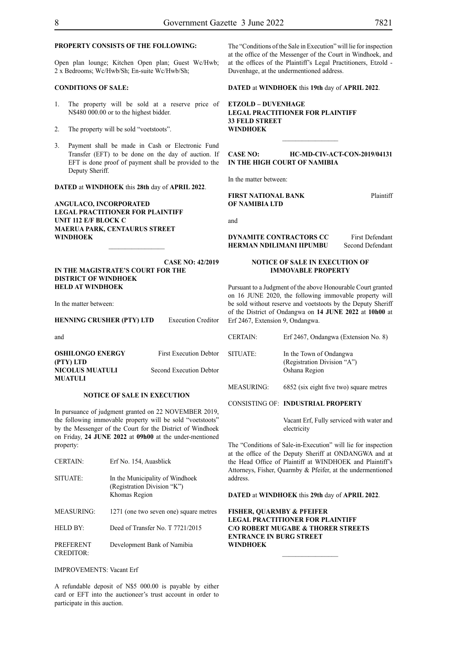#### **PROPERTY CONSISTS OF THE FOLLOWING:**

Open plan lounge; Kitchen Open plan; Guest Wc/Hwb; 2 x Bedrooms; Wc/Hwb/Sh; En-suite Wc/Hwb/Sh;

#### **CONDITIONS OF SALE:**

- 1. The property will be sold at a reserve price of N\$480 000.00 or to the highest bidder.
- 2. The property will be sold "voetstoots".
- 3. Payment shall be made in Cash or Electronic Fund Transfer (EFT) to be done on the day of auction. If EFT is done proof of payment shall be provided to the Deputy Sheriff.

**DATED** at **WINDHOEK** this **28th** day of **APRIL 2022**.

**ANGULACO, INCORPORATED LEGAL PRACTITIONER FOR PLAINTIFF UNIT 112 E/F BLOCK C MAERUA PARK, CENTAURUS STREET WINDHOEK**

**CASE NO: 42/2019 IN THE MAGISTRATE'S COURT FOR THE DISTRICT OF WINDHOEK HELD AT WINDHOEK**

In the matter between:

**HENNING CRUSHER (PTY) LTD** Execution Creditor

and

| <b>OSHILONGO ENERGY</b> | <b>First Execution Debtor</b> |
|-------------------------|-------------------------------|
| (PTY) LTD               |                               |
| NICOLUS MUATULI         | Second Execution Debtor       |
| MUATULI                 |                               |

#### **NOTICE OF SALE IN EXECUTION**

In pursuance of judgment granted on 22 NOVEMBER 2019, the following immovable property will be sold "voetstoots" by the Messenger of the Court for the District of Windhoek on Friday, **24 JUNE 2022** at **09h00** at the under-mentioned property:

| <b>CERTAIN:</b>                      | Erf No. 154, Auasblick                                                          |
|--------------------------------------|---------------------------------------------------------------------------------|
| SITUATE:                             | In the Municipality of Windhoek<br>(Registration Division "K")<br>Khomas Region |
| MEASURING:                           | 1271 (one two seven one) square metres                                          |
| <b>HELD BY:</b>                      | Deed of Transfer No. T 7721/2015                                                |
| <b>PREFERENT</b><br><b>CREDITOR:</b> | Development Bank of Namibia                                                     |

IMPROVEMENTS: Vacant Erf

A refundable deposit of N\$5 000.00 is payable by either card or EFT into the auctioneer's trust account in order to participate in this auction.

The "Conditions of the Sale in Execution" will lie for inspection at the office of the Messenger of the Court in Windhoek, and at the offices of the Plaintiff's Legal Practitioners, Etzold - Duvenhage, at the undermentioned address.

**DATED** at **WINDHOEK** this **19th** day of **APRIL 2022**.

#### **ETZOLD – DUVENHAGE LEGAL PRACTITIONER FOR PLAINTIFF 33 FELD STREET WINDHOEK**

#### **CASE NO: HC-MD-CIV-ACT-CON-2019/04131 IN THE HIGH COURT OF NAMIBIA**

 $\frac{1}{2}$ 

In the matter between:

#### **FIRST NATIONAL BANK** Plaintiff **OF NAMIBIA LTD**

and

#### **DYNAMITE CONTRACTORS CC** First Defendant **HERMAN NDILIMANI IIPUMBU** Second Defendant

#### **NOTICE OF SALE IN EXECUTION OF IMMOVABLE PROPERTY**

Pursuant to a Judgment of the above Honourable Court granted on 16 JUNE 2020, the following immovable property will be sold without reserve and voetstoots by the Deputy Sheriff of the District of Ondangwa on **14 JUNE 2022** at **10h00** at Erf 2467, Extension 9, Ondangwa.

| <b>CERTAIN:</b>   | Erf 2467, Ondangwa (Extension No. 8)                                    |
|-------------------|-------------------------------------------------------------------------|
| SITUATE:          | In the Town of Ondangwa<br>(Registration Division "A")<br>Oshana Region |
| <b>MEASURING:</b> | 6852 (six eight five two) square metres                                 |

CONSISTING OF: **INDUSTRIAL PROPERTY**

 Vacant Erf, Fully serviced with water and electricity

The "Conditions of Sale-in-Execution" will lie for inspection at the office of the Deputy Sheriff at ONDANGWA and at the Head Office of Plaintiff at WINDHOEK and Plaintiff's Attorneys, Fisher, Quarmby & Pfeifer, at the undermentioned address.

**DATED** at **WINDHOEK** this **29th** day of **APRIL 2022**.

**FISHER, QUARMBY & PFEIFER LEGAL PRACTITIONER FOR PLAINTIFF C/O ROBERT MUGABE & THORER STREETS ENTRANCE IN BURG STREET WINDHOEK**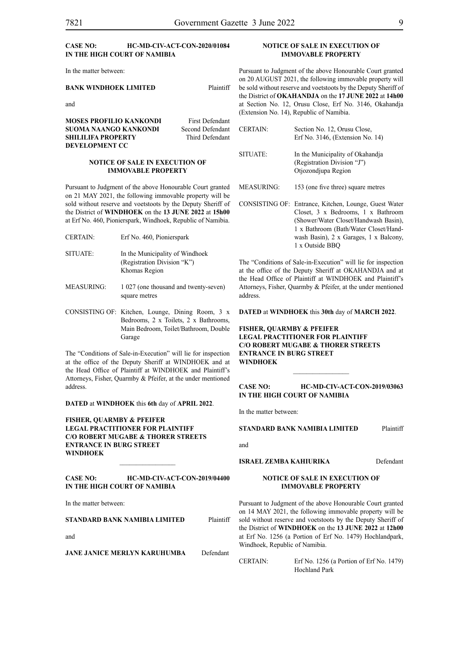#### **CASE NO: HC-MD-CIV-ACT-CON-2020/01084 IN THE HIGH COURT OF NAMIBIA**

In the matter between:

#### **BANK WINDHOEK LIMITED** Plaintiff

and

**MOSES PROFILIO KANKONDI** First Defendant **SUOMA NAANGO KANKONDI** Second Defendant **SHILILIFA PROPERTY** Third Defendant **DEVELOPMENT CC**

#### **NOTICE OF SALE IN EXECUTION OF IMMOVABLE PROPERTY**

Pursuant to Judgment of the above Honourable Court granted on 21 MAY 2021, the following immovable property will be sold without reserve and voetstoots by the Deputy Sheriff of the District of **WINDHOEK** on the **13 JUNE 2022** at **15h00** at Erf No. 460, Pionierspark, Windhoek, Republic of Namibia.

- CERTAIN: Erf No. 460, Pionierspark SITUATE: In the Municipality of Windhoek (Registration Division "K") Khomas Region
- MEASURING: 1 027 (one thousand and twenty-seven) square metres
- CONSISTING OF: Kitchen, Lounge, Dining Room, 3 x Bedrooms, 2 x Toilets, 2 x Bathrooms, Main Bedroom, Toilet/Bathroom, Double Garage

The "Conditions of Sale-in-Execution" will lie for inspection at the office of the Deputy Sheriff at WINDHOEK and at the Head Office of Plaintiff at WINDHOEK and Plaintiff's Attorneys, Fisher, Quarmby & Pfeifer, at the under mentioned address.

**DATED** at **WINDHOEK** this **6th** day of **APRIL 2022**.

**FISHER, QUARMBY & PFEIFER LEGAL PRACTITIONER FOR PLAINTIFF C/O ROBERT MUGABE & THORER STREETS ENTRANCE IN BURG STREET WINDHOEK**

#### **CASE NO: HC-MD-CIV-ACT-CON-2019/04400 IN THE HIGH COURT OF NAMIBIA**

 $\frac{1}{2}$ 

In the matter between:

#### **STANDARD BANK NAMIBIA LIMITED** Plaintiff

and

**JANE JANICE MERLYN KARUHUMBA** Defendant

#### **NOTICE OF SALE IN EXECUTION OF IMMOVABLE PROPERTY**

Pursuant to Judgment of the above Honourable Court granted on 20 AUGUST 2021, the following immovable property will be sold without reserve and voetstoots by the Deputy Sheriff of the District of **OKAHANDJA** on the **17 JUNE 2022** at **14h00** at Section No. 12, Orusu Close, Erf No. 3146, Okahandja (Extension No. 14), Republic of Namibia.

| <b>CERTAIN:</b> | Section No. 12, Orusu Close,<br>Erf No. $3146$ , (Extension No. 14)                                                                                                                                                                        |
|-----------------|--------------------------------------------------------------------------------------------------------------------------------------------------------------------------------------------------------------------------------------------|
| SITUATE:        | In the Municipality of Okahandia<br>(Registration Division "J")<br>Otjozondjupa Region                                                                                                                                                     |
| MEASURING:      | 153 (one five three) square metres                                                                                                                                                                                                         |
|                 | CONSISTING OF: Entrance, Kitchen, Lounge, Guest Water<br>Closet, 3 x Bedrooms, 1 x Bathroom<br>(Shower/Water Closet/Handwash Basin).<br>1 x Bathroom (Bath/Water Closet/Hand-<br>wash Basin), 2 x Garages, 1 x Balcony,<br>1 x Outside BBO |

The "Conditions of Sale-in-Execution" will lie for inspection at the office of the Deputy Sheriff at OKAHANDJA and at the Head Office of Plaintiff at WINDHOEK and Plaintiff's Attorneys, Fisher, Quarmby & Pfeifer, at the under mentioned address.

**DATED** at **WINDHOEK** this **30th** day of **MARCH 2022**.

#### **FISHER, QUARMBY & PFEIFER LEGAL PRACTITIONER FOR PLAINTIFF C/O ROBERT MUGABE & THORER STREETS ENTRANCE IN BURG STREET WINDHOEK**

**CASE NO: HC-MD-CIV-ACT-CON-2019/03063 IN THE HIGH COURT OF NAMIBIA**

In the matter between:

**STANDARD BANK NAMIBIA LIMITED** Plaintiff

and

#### **ISRAEL ZEMBA KAHIURIKA** Defendant

#### **NOTICE OF SALE IN EXECUTION OF IMMOVABLE PROPERTY**

Pursuant to Judgment of the above Honourable Court granted on 14 MAY 2021, the following immovable property will be sold without reserve and voetstoots by the Deputy Sheriff of the District of **WINDHOEK** on the **13 JUNE 2022** at **12h00** at Erf No. 1256 (a Portion of Erf No. 1479) Hochlandpark, Windhoek, Republic of Namibia.

CERTAIN: Erf No. 1256 (a Portion of Erf No. 1479) Hochland Park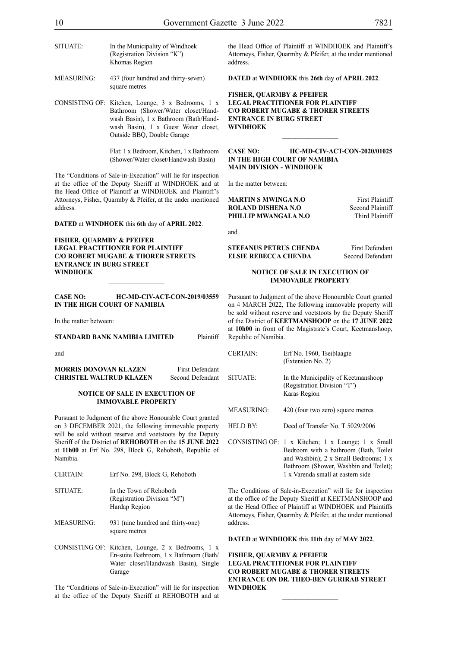| SITUATE:          | In the Municipality of Windhoek<br>(Registration Division "K")<br>Khomas Region |
|-------------------|---------------------------------------------------------------------------------|
| <b>MEASURING:</b> | 437 (four hundred and thirty-seven)                                             |

square metres

CONSISTING OF: Kitchen, Lounge, 3 x Bedrooms, 1 x Bathroom (Shower/Water closet/Handwash Basin), 1 x Bathroom (Bath/Handwash Basin), 1 x Guest Water closet, Outside BBQ, Double Garage

> Flat: 1 x Bedroom, Kitchen, 1 x Bathroom (Shower/Water closet/Handwash Basin)

The "Conditions of Sale-in-Execution" will lie for inspection at the office of the Deputy Sheriff at WINDHOEK and at the Head Office of Plaintiff at WINDHOEK and Plaintiff's Attorneys, Fisher, Quarmby & Pfeifer, at the under mentioned address.

**DATED** at **WINDHOEK** this **6th** day of **APRIL 2022**.

**FISHER, QUARMBY & PFEIFER LEGAL PRACTITIONER FOR PLAINTIFF C/O ROBERT MUGABE & THORER STREETS ENTRANCE IN BURG STREET WINDHOEK**

**CASE NO: HC-MD-CIV-ACT-CON-2019/03559 IN THE HIGH COURT OF NAMIBIA**

 $\frac{1}{2}$ 

In the matter between:

**STANDARD BANK NAMIBIA LIMITED** Plaintiff

and

**MORRIS DONOVAN KLAZEN** First Defendant **CHRISTEL WALTRUD KLAZEN** Second Defendant

#### **NOTICE OF SALE IN EXECUTION OF IMMOVABLE PROPERTY**

Pursuant to Judgment of the above Honourable Court granted on 3 DECEMBER 2021, the following immovable property will be sold without reserve and voetstoots by the Deputy Sheriff of the District of **REHOBOTH** on the **15 JUNE 2022** at **11h00** at Erf No. 298, Block G, Rehoboth, Republic of Namibia.

| <b>CERTAIN:</b>   | Erf No. 298, Block G, Rehoboth                                                                                                      |
|-------------------|-------------------------------------------------------------------------------------------------------------------------------------|
| SITUATE:          | In the Town of Rehoboth<br>(Registration Division "M")<br>Hardap Region                                                             |
| <b>MEASURING:</b> | 931 (nine hundred and thirty-one)<br>square metres                                                                                  |
|                   | CONSISTING OF: Kitchen, Lounge, 2 x Bedrooms, 1 x<br>En-suite Bathroom, 1 x Bathroom (Bath/<br>Water closet/Handwash Basin), Single |

The "Conditions of Sale-in-Execution" will lie for inspection at the office of the Deputy Sheriff at REHOBOTH and at

Garage

the Head Office of Plaintiff at WINDHOEK and Plaintiff's Attorneys, Fisher, Quarmby & Pfeifer, at the under mentioned address.

**DATED** at **WINDHOEK** this **26th** day of **APRIL 2022**.

#### **FISHER, QUARMBY & PFEIFER LEGAL PRACTITIONER FOR PLAINTIFF C/O ROBERT MUGABE & THORER STREETS ENTRANCE IN BURG STREET WINDHOEK**

#### **CASE NO: HC-MD-CIV-ACT-CON-2020/01025 IN THE HIGH COURT OF NAMIBIA MAIN DIVISION - WINDHOEK**

 $\frac{1}{2}$ 

In the matter between:

**MARTIN S MWINGA N.O** First Plaintiff<br> **ROLAND DISHENA N.O** Second Plaintiff **ROLAND DISHENA N.O. PHILLIP MWANGALA N.O** Third Plaintiff

and

**STEFANUS PETRUS CHENDA** First Defendant **ELSIE REBECCA CHENDA** Second Defendant

#### **NOTICE OF SALE IN EXECUTION OF IMMOVABLE PROPERTY**

Pursuant to Judgment of the above Honourable Court granted on 4 MARCH 2022, The following immovable property will be sold without reserve and voetstoots by the Deputy Sheriff of the District of **KEETMANSHOOP** on the **17 JUNE 2022** at **10h00** in front of the Magistrate's Court, Keetmanshoop, Republic of Namibia.

CERTAIN: Erf No. 1960, Tseiblaagte (Extension No. 2) SITUATE: In the Municipality of Keetmanshoop (Registration Division "T") Karas Region MEASURING: 420 (four two zero) square metres HELD BY: Deed of Transfer No. T 5029/2006 CONSISTING OF: 1 x Kitchen; 1 x Lounge; 1 x Small Bedroom with a bathroom (Bath, Toilet and Washbin); 2 x Small Bedrooms; 1 x Bathroom (Shower, Washbin and Toilet); 1 x Varenda small at eastern side

The Conditions of Sale-in-Execution" will lie for inspection at the office of the Deputy Sheriff at KEETMANSHOOP and at the Head Office of Plaintiff at WINDHOEK and Plaintiffs Attorneys, Fisher, Quarmby & Pfeifer, at the under mentioned address.

**DATED** at **WINDHOEK** this **11th** day of **MAY 2022**.

**FISHER, QUARMBY & PFEIFER LEGAL PRACTITIONER FOR PLAINTIFF C/O ROBERT MUGABE & THORER STREETS ENTRANCE ON DR. THEO-BEN GURIRAB STREET WINDHOEK**

 $\frac{1}{2}$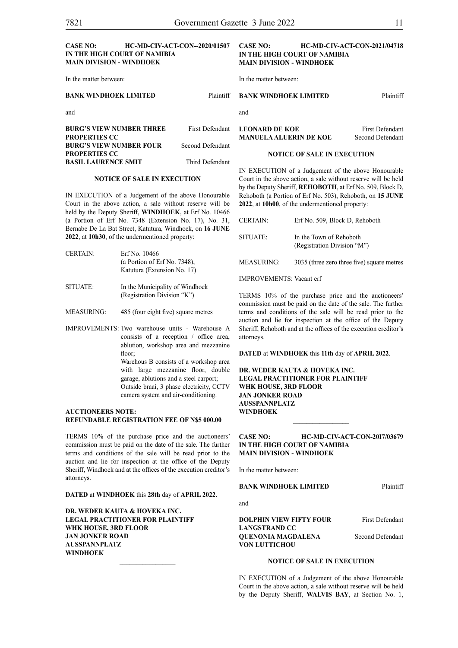#### **CASE NO: HC-MD-CIV-ACT-CON--2020/01507 IN THE HIGH COURT OF NAMIBIA MAIN DIVISION - WINDHOEK**

In the matter between:

#### **BANK WINDHOEK LIMITED** Plaintiff

and

| <b>BURG'S VIEW NUMBER THREE</b> | First Defendant  |
|---------------------------------|------------------|
| <b>PROPERTIES CC</b>            |                  |
| <b>BURG'S VIEW NUMBER FOUR</b>  | Second Defendant |
| <b>PROPERTIES CC</b>            |                  |
| <b>BASIL LAURENCE SMIT</b>      | Third Defendant  |

#### **NOTICE OF SALE IN EXECUTION**

IN EXECUTION of a Judgement of the above Honourable Court in the above action, a sale without reserve will be held by the Deputy Sheriff, **WINDHOEK**, at Erf No. 10466 (a Portion of Erf No. 7348 (Extension No. 17), No. 31, Bernabe De La Bat Street, Katutura, Windhoek, on **16 JUNE 2022**, at **10h30**, of the undermentioned property:

| CERTAIN: | Erf No. 10466                   |
|----------|---------------------------------|
|          | (a Portion of Erf No. $7348$ ), |
|          | Katutura (Extension No. 17)     |
| SITUATE: | In the Municipality of Windhoek |

- (Registration Division "K")
- MEASURING: 485 (four eight five) square metres
- IMPROVEMENTS: Two warehouse units Warehouse A consists of a reception / office area, ablution, workshop area and mezzanine floor: Warehous B consists of a workshop area with large mezzanine floor, double garage, ablutions and a steel carport; Outside braai, 3 phase electricity, CCTV camera system and air-conditioning.

#### **AUCTIONEERS NOTE: REFUNDABLE REGISTRATION FEE OF N\$5 000.00**

TERMS 10% of the purchase price and the auctioneers' commission must be paid on the date of the sale. The further terms and conditions of the sale will be read prior to the auction and lie for inspection at the office of the Deputy Sheriff, Windhoek and at the offices of the execution creditor's attorneys.

**DATED** at **WINDHOEK** this **28th** day of **APRIL 2022**.

**DR. WEDER KAUTA & HOVEKA INC. LEGAL PRACTITIONER FOR PLAINTIFF WHK HOUSE, 3RD FLOOR JAN JONKER ROAD AUSSPANNPLATZ WINDHOEK**

#### **CASE NO: HC-MD-CIV-ACT-CON-2021/04718 IN THE HIGH COURT OF NAMIBIA MAIN DIVISION - WINDHOEK**

In the matter between:

#### **BANK WINDHOEK LIMITED** Plaintiff

and

**LEONARD DE KOE** First Defendant **MANUELA ALUERIN DE KOE** Second Defendant

#### **NOTICE OF SALE IN EXECUTION**

IN EXECUTION of a Judgement of the above Honourable Court in the above action, a sale without reserve will be held by the Deputy Sheriff, **REHOBOTH**, at Erf No. 509, Block D, Rehoboth (a Portion of Erf No. 503), Rehoboth, on **15 JUNE 2022**, at **10h00**, of the undermentioned property:

| <b>CERTAIN:</b>                 | Erf No. 509, Block D, Rehoboth                         |
|---------------------------------|--------------------------------------------------------|
| SITUATE:                        | In the Town of Rehoboth<br>(Registration Division "M") |
| MEASURING:                      | 3035 (three zero three five) square metres             |
| <b>IMPROVEMENTS: Vacant erf</b> |                                                        |

TERMS 10% of the purchase price and the auctioneers' commission must be paid on the date of the sale. The further terms and conditions of the sale will be read prior to the auction and lie for inspection at the office of the Deputy Sheriff, Rehoboth and at the offices of the execution creditor's attorneys.

**DATED** at **WINDHOEK** this **11th** day of **APRIL 2022**.

**DR. WEDER KAUTA & HOVEKA INC. LEGAL PRACTITIONER FOR PLAINTIFF WHK HOUSE, 3RD FLOOR JAN JONKER ROAD AUSSPANNPLATZ WINDHOEK**  $\frac{1}{2}$ 

#### **CASE NO: HC-MD-CIV-ACT-CON-20I7/03679 IN THE HIGH COURT OF NAMIBIA MAIN DIVISION - WINDHOEK**

In the matter between:

**BANK WINDHOEK LIMITED** Plaintiff

and

#### **DOLPHIN VIEW FIFTY FOUR** First Defendant **LANGSTRAND CC QUENONIA MAGDALENA** Second Defendant **VON LUTTICHOU**

#### **NOTICE OF SALE IN EXECUTION**

IN EXECUTION of a Judgement of the above Honourable Court in the above action, a sale without reserve will be held by the Deputy Sheriff, **WALVIS BAY**, at Section No. 1,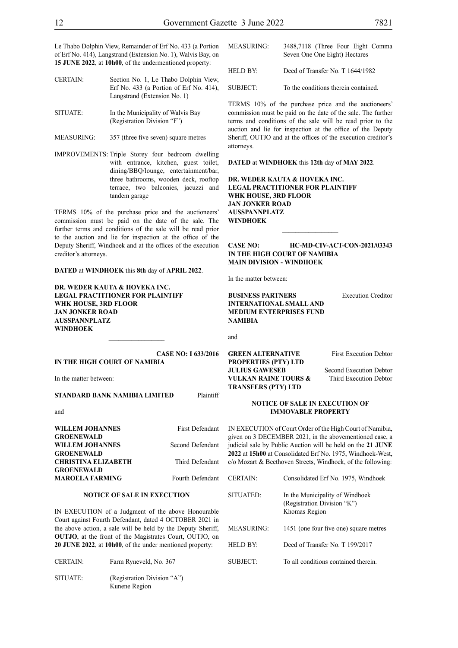Le Thabo Dolphin View, Remainder of Erf No. 433 (a Portion of Erf No. 414), Langstrand (Extension No. 1), Walvis Bay, on **15 JUNE 2022**, at **10h00**, of the undermentioned property:

| <b>CERTAIN:</b> | Section No. 1, Le Thabo Dolphin View,        |
|-----------------|----------------------------------------------|
|                 | Erf No. $433$ (a Portion of Erf No. $414$ ). |
|                 | Langstrand (Extension No. 1)                 |
|                 |                                              |

- SITUATE: In the Municipality of Walvis Bay (Registration Division "F")
- MEASURING: 357 (three five seven) square metres

IMPROVEMENTS: Triple Storey four bedroom dwelling with entrance, kitchen, guest toilet, dining/BBQ/lounge, entertainment/bar, three bathrooms, wooden deck, rooftop terrace, two balconies, jacuzzi and tandem garage

TERMS 10% of the purchase price and the auctioneers' commission must be paid on the date of the sale. The further terms and conditions of the sale will be read prior to the auction and lie for inspection at the office of the Deputy Sheriff, Windhoek and at the offices of the execution creditor's attorneys.

**DATED** at **WINDHOEK** this **8th** day of **APRIL 2022**.

**DR. WEDER KAUTA & HOVEKA INC. LEGAL PRACTITIONER FOR PLAINTIFF WHK HOUSE, 3RD FLOOR JAN JONKER ROAD AUSSPANNPLATZ WINDHOEK**

#### **CASE NO: I 633/2016 IN THE HIGH COURT OF NAMIBIA**

 $\frac{1}{2}$ 

In the matter between:

#### **STANDARD BANK NAMIBIA LIMITED** Plaintiff

and

| WILLEM JOHANNES            | <b>First Defendant</b> |
|----------------------------|------------------------|
| <b>GROENEWALD</b>          |                        |
| WILLEM JOHANNES            | Second Defendant       |
| <b>GROENEWALD</b>          |                        |
| <b>CHRISTINA ELIZABETH</b> | Third Defendant        |
| <b>GROENEWALD</b>          |                        |
| <b>MAROELA FARMING</b>     | Fourth Defendant       |

#### **NOTICE OF SALE IN EXECUTION**

IN EXECUTION of a Judgment of the above Honourable Court against Fourth Defendant, dated 4 OCTOBER 2021 in the above action, a sale will be held by the Deputy Sheriff, **OUTJO**, at the front of the Magistrates Court, OUTJO, on **20 JUNE 2022**, at **10h00**, of the under mentioned property:

| <b>CERTAIN:</b> | Farm Ryneveld, No. 367                       |
|-----------------|----------------------------------------------|
| SITUATE:        | (Registration Division "A")<br>Kunene Region |

SUBJECT: To the conditions therein contained.

TERMS 10% of the purchase price and the auctioneers' commission must be paid on the date of the sale. The further terms and conditions of the sale will be read prior to the auction and lie for inspection at the office of the Deputy Sheriff, OUTJO and at the offices of the execution creditor's attorneys.

#### **DATED** at **WINDHOEK** this **12th** day of **MAY 2022**.

**DR. WEDER KAUTA & HOVEKA INC. LEGAL PRACTITIONER FOR PLAINTIFF WHK HOUSE, 3RD FLOOR JAN JONKER ROAD AUSSPANNPLATZ WINDHOEK**

#### **CASE NO: HC-MD-CIV-ACT-CON-2021/03343 IN THE HIGH COURT OF NAMIBIA MAIN DIVISION - WINDHOEK**

 $\frac{1}{2}$ 

In the matter between:

**BUSINESS PARTNERS** Execution Creditor **INTERNATIONAL SMALL AND MEDIUM ENTERPRISES FUND NAMIBIA**

and

#### **GREEN ALTERNATIVE** First Execution Debtor **PROPERTIES (PTY) LTD JULIUS GAWESEB** Second Execution Debtor **VULKAN RAINE TOURS &** Third Execution Debtor **TRANSFERS (PTY) LTD**

#### **NOTICE OF SALE IN EXECUTION OF IMMOVABLE PROPERTY**

IN EXECUTION of Court Order of the High Court of Namibia, given on 3 DECEMBER 2021, in the abovementioned case, a judicial sale by Public Auction will be held on the **21 JUNE 2022** at **15h00** at Consolidated Erf No. 1975, Windhoek-West, c/o Mozart & Beethoven Streets, Windhoek, of the following:

| <b>CERTAIN:</b> | Consolidated Erf No. 1975, Windhoek                                             |
|-----------------|---------------------------------------------------------------------------------|
| SITUATED:       | In the Municipality of Windhoek<br>(Registration Division "K")<br>Khomas Region |
| MEASURING:      | 1451 (one four five one) square metres                                          |
| <b>HELD BY:</b> | Deed of Transfer No. T 199/2017                                                 |
| SUBJECT:        | To all conditions contained therein.                                            |
|                 |                                                                                 |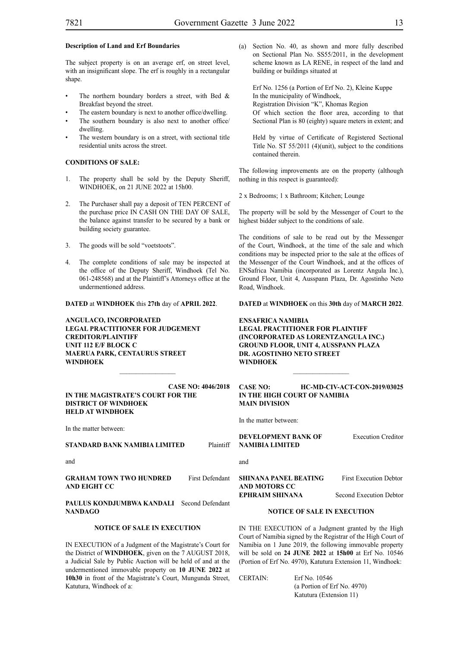#### **Description of Land and Erf Boundaries**

The subject property is on an average erf, on street level, with an insignificant slope. The erf is roughly in a rectangular shape.

- The northern boundary borders a street, with Bed  $\&$ Breakfast beyond the street.
- The eastern boundary is next to another office/dwelling.
- The southern boundary is also next to another office/ dwelling.
- The western boundary is on a street, with sectional title residential units across the street.

#### **CONDITIONS OF SALE:**

- The property shall be sold by the Deputy Sheriff, WINDHOEK, on 21 JUNE 2022 at 15h00.
- 2. The Purchaser shall pay a deposit of TEN PERCENT of the purchase price IN CASH ON THE DAY OF SALE, the balance against transfer to be secured by a bank or building society guarantee.
- 3. The goods will be sold "voetstoots".
- 4. The complete conditions of sale may be inspected at the office of the Deputy Sheriff, Windhoek (Tel No. 061-248568) and at the Plaintiff's Attorneys office at the undermentioned address.

**DATED** at **WINDHOEK** this **27th** day of **APRIL 2022**.

**ANGULACO, INCORPORATED LEGAL PRACTITIONER FOR JUDGEMENT CREDITOR/PLAINTIFF UNIT 112 E/F BLOCK C MAERUA PARK, CENTAURUS STREET WINDHOEK**

#### **CASE NO: 4046/2018 IN THE MAGISTRATE'S COURT FOR THE DISTRICT OF WINDHOEK HELD AT WINDHOEK**

In the matter between:

#### **STANDARD BANK NAMIBIA LIMITED** Plaintiff

and

**GRAHAM TOWN TWO HUNDRED** First Defendant **AND EIGHT CC**

PAULUS KONDJUMBWA KANDALI Second Defendant **NANDAGO**

#### **NOTICE OF SALE IN EXECUTION**

IN EXECUTION of a Judgment of the Magistrate's Court for the District of **WINDHOEK**, given on the 7 AUGUST 2018, a Judicial Sale by Public Auction will be held of and at the undermentioned immovable property on **10 JUNE 2022** at **10h30** in front of the Magistrate's Court, Mungunda Street, Katutura, Windhoek of a:

(a) Section No. 40, as shown and more fully described on Sectional Plan No. SS55/2011, in the development scheme known as LA RENE, in respect of the land and building or buildings situated at

Erf No. 1256 (a Portion of Erf No. 2), Kleine Kuppe In the municipality of Windhoek, Registration Division "K", Khomas Region Of which section the floor area, according to that Sectional Plan is 80 (eighty) square meters in extent; and

Held by virtue of Certificate of Registered Sectional Title No. ST 55/2011 (4)(unit), subject to the conditions contained therein.

The following improvements are on the property (although nothing in this respect is guaranteed):

2 x Bedrooms; 1 x Bathroom; Kitchen; Lounge

The property will be sold by the Messenger of Court to the highest bidder subject to the conditions of sale.

The conditions of sale to be read out by the Messenger of the Court, Windhoek, at the time of the sale and which conditions may be inspected prior to the sale at the offices of the Messenger of the Court Windhoek, and at the offices of ENSafrica Namibia (incorporated as Lorentz Angula Inc.), Ground Floor, Unit 4, Ausspann Plaza, Dr. Agostinho Neto Road, Windhoek.

**DATED** at **WINDHOEK** on this **30th** day of **MARCH 2022**.

**ENSAFRICA NAMIBIA LEGAL PRACTITIONER FOR PLAINTIFF (INCORPORATED AS LORENTZANGULA INC.) GROUND FLOOR, UNIT 4, AUSSPANN PLAZA DR. AGOSTINHO NETO STREET WINDHOEK**

#### **CASE NO: HC-MD-CIV-ACT-CON-2019/03025 IN THE HIGH COURT OF NAMIBIA MAIN DIVISION**

 $\frac{1}{2}$ 

In the matter between:

**DEVELOPMENT BANK OF Execution Creditor NAMIBIA LIMITED**

and

**SHINANA PANEL BEATING First Execution Debtor AND MOTORS CC EPHRAIM SHINANA** Second Execution Debtor

#### **NOTICE OF SALE IN EXECUTION**

IN THE EXECUTION of a Judgment granted by the High Court of Namibia signed by the Registrar of the High Court of Namibia on 1 June 2019, the following immovable property will be sold on **24 JUNE 2022** at **15h00** at Erf No. 10546 (Portion of Erf No. 4970), Katutura Extension 11, Windhoek:

| <b>CERTAIN:</b> | Erf No. 10546               |
|-----------------|-----------------------------|
|                 | (a Portion of Erf No. 4970) |
|                 | Katutura (Extension 11)     |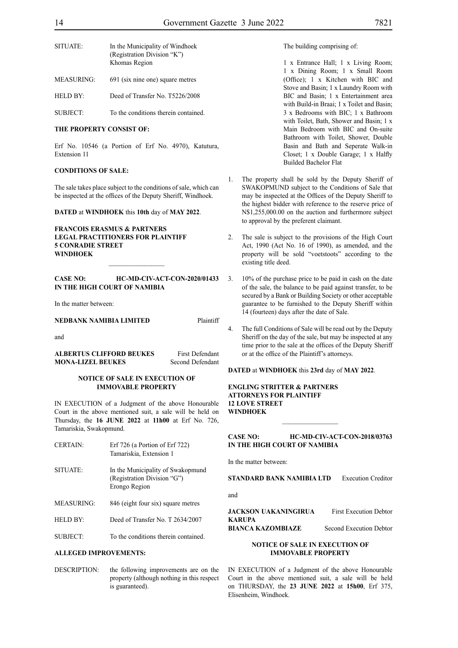| SITUATE:   | In the Municipality of Windhoek<br>(Registration Division "K")<br>Khomas Region |
|------------|---------------------------------------------------------------------------------|
| MEASURING: | 691 (six nine one) square metres                                                |
| HELD BY:   | Deed of Transfer No. T5226/2008                                                 |

SUBJECT: To the conditions therein contained.

#### **THE PROPERTY CONSIST OF:**

Erf No. 10546 (a Portion of Erf No. 4970), Katutura, Extension 11

#### **CONDITIONS OF SALE:**

The sale takes place subject to the conditions of sale, which can be inspected at the offices of the Deputy Sheriff, Windhoek.

**DATED** at **WINDHOEK** this **10th** day of **MAY 2022**.

#### **FRANCOIS ERASMUS & PARTNERS LEGAL PRACTITIONERS FOR PLAINTIFF 5 CONRADIE STREET WINDHOEK**

#### **CASE NO: HC-MD-CIV-ACT-CON-2020/01433 IN THE HIGH COURT OF NAMIBIA**

In the matter between:

#### **NEDBANK NAMIBIA LIMITED** Plaintiff

and

**ALBERTUS CLIFFORD BEUKES** First Defendant **MONA-LIZEL BEUKES** Second Defendant

#### **NOTICE OF SALE IN EXECUTION OF IMMOVABLE PROPERTY**

IN EXECUTION of a Judgment of the above Honourable Court in the above mentioned suit, a sale will be held on Thursday, the **16 JUNE 2022** at **11h00** at Erf No. 726, Tamariskia, Swakopmund.

| <b>CERTAIN:</b> | Erf $726$ (a Portion of Erf $722$ )<br>Tamariskia, Extension 1                    |
|-----------------|-----------------------------------------------------------------------------------|
| SITUATE:        | In the Municipality of Swakopmund<br>(Registration Division "G")<br>Erongo Region |
| MEASURING:      | 846 (eight four six) square metres                                                |
| HELD BY:        | Deed of Transfer No. T 2634/2007                                                  |
| <b>SUBJECT:</b> | To the conditions therein contained                                               |

#### **ALLEGED IMPROVEMENTS:**

DESCRIPTION: the following improvements are on the property (although nothing in this respect is guaranteed).

The building comprising of:

1 x Entrance Hall; 1 x Living Room; 1 x Dining Room; 1 x Small Room (Office); 1 x Kitchen with BIC and Stove and Basin; 1 x Laundry Room with BIC and Basin; 1 x Entertainment area with Build-in Braai; 1 x Toilet and Basin; 3 x Bedrooms with BIC; 1 x Bathroom with Toilet, Bath, Shower and Basin; 1 x Main Bedroom with BIC and On-suite Bathroom with Toilet, Shower, Double Basin and Bath and Seperate Walk-in Closet; 1 x Double Garage; 1 x Halfly Builded Bachelor Flat

- 1. The property shall be sold by the Deputy Sheriff of SWAKOPMUND subject to the Conditions of Sale that may be inspected at the Offices of the Deputy Sheriff to the highest bidder with reference to the reserve price of N\$1,255,000.00 on the auction and furthermore subject to approval by the preferent claimant.
- 2. The sale is subject to the provisions of the High Court Act, 1990 (Act No. 16 of 1990), as amended, and the property will be sold "voetstoots" according to the existing title deed.
- 3. 10% of the purchase price to be paid in cash on the date of the sale, the balance to be paid against transfer, to be secured by a Bank or Building Society or other acceptable guarantee to be furnished to the Deputy Sheriff within 14 (fourteen) days after the date of Sale.
- 4. The full Conditions of Sale will be read out by the Deputy Sheriff on the day of the sale, but may be inspected at any time prior to the sale at the offices of the Deputy Sheriff or at the office of the Plaintiff's attorneys.

#### **DATED** at **WINDHOEK** this **23rd** day of **MAY 2022**.

**ENGLING STRITTER & PARTNERS ATTORNEYS FOR PLAINTIFF 12 LOVE STREET WINDHOEK**

#### **CASE NO: HC-MD-CIV-ACT-CON-2018/03763 IN THE HIGH COURT OF NAMIBIA**

 $\frac{1}{2}$ 

In the matter between:

**STANDARD BANK NAMIBIA LTD** Execution Creditor

and

**JACKSON UAKANINGIRUA** First Execution Debtor **KARUPA**

**BIANCA KAZOMBIAZE** Second Execution Debtor

#### **NOTICE OF SALE IN EXECUTION OF IMMOVABLE PROPERTY**

IN EXECUTION of a Judgment of the above Honourable Court in the above mentioned suit, a sale will be held on THURSDAY, the **23 JUNE 2022** at **15h00**, Erf 375, Elisenheim, Windhoek.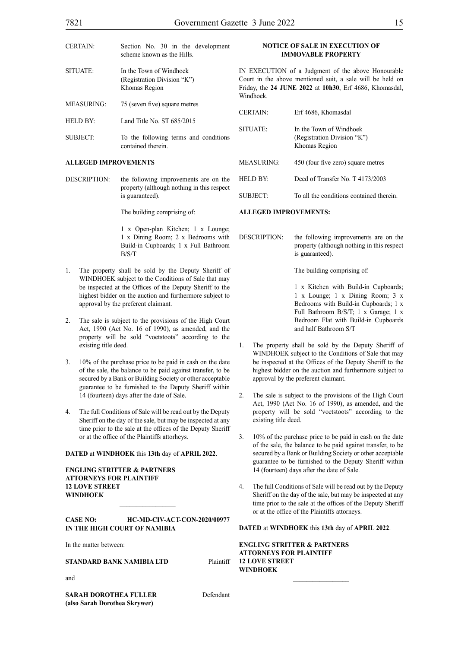| <b>CERTAIN:</b>   | Section No. 30 in the development<br>scheme known as the Hills.         |  |
|-------------------|-------------------------------------------------------------------------|--|
| SITUATE:          | In the Town of Windhoek<br>(Registration Division "K")<br>Khomas Region |  |
| <b>MEASURING:</b> | 75 (seven five) square metres                                           |  |
| <b>HELD BY:</b>   | Land Title No. ST 685/2015                                              |  |
| <b>SUBJECT:</b>   | To the following terms and conditions<br>contained therein.             |  |

#### **ALLEGED IMPROVEMENTS**

DESCRIPTION: the following improvements are on the property (although nothing in this respect is guaranteed).

The building comprising of:

1 x Open-plan Kitchen; 1 x Lounge; 1 x Dining Room; 2 x Bedrooms with Build-in Cupboards; 1 x Full Bathroom B/S/T

- 1. The property shall be sold by the Deputy Sheriff of WINDHOEK subject to the Conditions of Sale that may be inspected at the Offices of the Deputy Sheriff to the highest bidder on the auction and furthermore subject to approval by the preferent claimant.
- 2. The sale is subject to the provisions of the High Court Act, 1990 (Act No. 16 of 1990), as amended, and the property will be sold "voetstoots" according to the existing title deed.
- 3. 10% of the purchase price to be paid in cash on the date of the sale, the balance to be paid against transfer, to be secured by a Bank or Building Society or other acceptable guarantee to be furnished to the Deputy Sheriff within 14 (fourteen) days after the date of Sale.
- 4. The full Conditions of Sale will be read out by the Deputy Sheriff on the day of the sale, but may be inspected at any time prior to the sale at the offices of the Deputy Sheriff or at the office of the Plaintiffs attorheys.

#### **DATED** at **WINDHOEK** this **13th** day of **APRIL 2022**.

#### **ENGLING STRITTER & PARTNERS ATTORNEYS FOR PLAINTIFF 12 LOVE STREET WINDHOEK**

#### **CASE NO: HC-MD-CIV-ACT-CON-2020/00977 IN THE HIGH COURT OF NAMIBIA**

 $\mathcal{L}_\text{max}$ 

In the matter between:

#### **STANDARD BANK NAMIBIA LTD** Plaintiff

and

**SARAH DOROTHEA FULLER** Defendant **(also Sarah Dorothea Skrywer)**

**NOTICE OF SALE IN EXECUTION OF IMMOVABLE PROPERTY**

IN EXECUTION of a Judgment of the above Honourable Court in the above mentioned suit, a sale will be held on Friday, the **24 JUNE 2022** at **10h30**, Erf 4686, Khomasdal, Windhoek.

| <b>CERTAIN</b>       | Erf 4686, Khomasdal                                                     |
|----------------------|-------------------------------------------------------------------------|
| SITUATE <sup>.</sup> | In the Town of Windhoek<br>(Registration Division "K")<br>Khomas Region |
| MEASURING:           | 450 (four five zero) square metres                                      |
| HELD BY <sup>.</sup> | Deed of Transfer No. T 4173/2003                                        |
| SUBJECT <sup>.</sup> | To all the conditions contained therein.                                |

#### **ALLEGED IMPROVEMENTS:**

DESCRIPTION: the following improvements are on the property (although nothing in this respect is guaranteed).

The building comprising of:

1 x Kitchen with Build-in Cupboards; 1 x Lounge; 1 x Dining Room; 3 x Bedrooms with Build-in Cupboards; 1 x Full Bathroom B/S/T; 1 x Garage; 1 x Bedroom Flat with Build-in Cupboards and half Bathroom S/T

- 1. The property shall be sold by the Deputy Sheriff of WINDHOEK subject to the Conditions of Sale that may be inspected at the Offices of the Deputy Sheriff to the highest bidder on the auction and furthermore subject to approval by the preferent claimant.
- 2. The sale is subject to the provisions of the High Court Act, 1990 (Act No. 16 of 1990), as amended, and the property will be sold "voetstoots" according to the existing title deed.
- 3. 10% of the purchase price to be paid in cash on the date of the sale, the balance to be paid against transfer, to be secured by a Bank or Building Society or other acceptable guarantee to be furnished to the Deputy Sheriff within 14 (fourteen) days after the date of Sale.
- 4. The full Conditions of Sale will be read out by the Deputy Sheriff on the day of the sale, but may be inspected at any time prior to the sale at the offices of the Deputy Sheriff or at the office of the Plaintiffs attorneys.

#### **DATED** at **WINDHOEK** this **13th** day of **APRIL 2022**.

#### **ENGLING STRITTER & PARTNERS ATTORNEYS FOR PLAINTIFF 12 LOVE STREET WINDHOEK**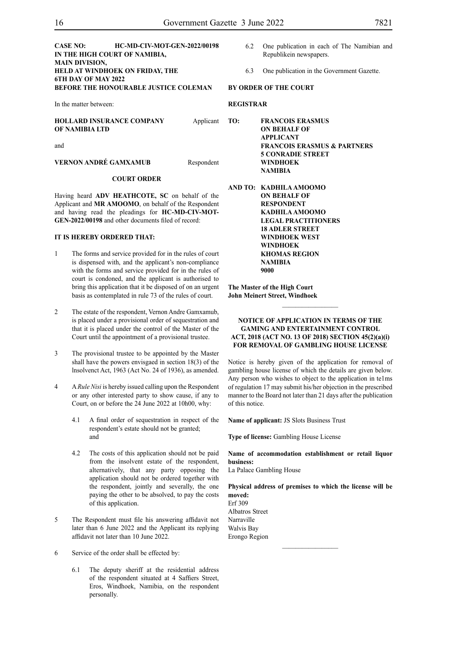#### **CASE NO: HC-MD-CIV-MOT-GEN-2022/00198 IN THE HIGH COURT OF NAMIBIA, MAIN DIVISION, HELD AT WINDHOEK ON FRIDAY, THE 6TH DAY OF MAY 2022 BEFORE THE HONOURABLE JUSTICE COLEMAN**

In the matter between:

**HOLLARD INSURANCE COMPANY** Applicant **OF NAMIBIA LTD**

and

**VERNON ANDRÉ GAMXAMUB** Respondent

#### **COURT ORDER**

Having heard **ADV HEATHCOTE, SC** on behalf of the Applicant and **MR AMOOMO**, on behalf of the Respondent and having read the pleadings for **HC-MD-CIV-MOT-GEN-2022/00198** and other documents filed of record:

#### **IT IS HEREBY ORDERED THAT:**

- 1 The forms and service provided for in the rules of court is dispensed with, and the applicant's non-compliance with the forms and service provided for in the rules of court is condoned, and the applicant is authorised to bring this application that it be disposed of on an urgent basis as contemplated in rule 73 of the rules of court.
- 2 The estate of the respondent, Vernon Andre Gamxamub, is placed under a provisional order of sequestration and that it is placed under the control of the Master of the Court until the appointment of a provisional trustee.
- 3 The provisional trustee to be appointed by the Master shall have the powers envisgaed in section 18(3) of the lnsolvenct Act, 1963 (Act No. 24 of 1936), as amended.
- 4 A *Rule Nisi* is hereby issued calling upon the Respondent or any other interested party to show cause, if any to Court, on or before the 24 June 2022 at 10h00, why:
	- 4.1 A final order of sequestration in respect of the respondent's estate should not be granted; and
	- 4.2 The costs of this application should not be paid from the insolvent estate of the respondent, alternatively, that any party opposing the application should not be ordered together with the respondent, jointly and severally, the one paying the other to be absolved, to pay the costs of this application.
- 5 The Respondent must file his answering affidavit not later than 6 June 2022 and the Applicant its replying affidavit not later than 10 June 2022.
- 6 Service of the order shall be effected by:
	- 6.1 The deputy sheriff at the residential address of the respondent situated at 4 Saffiers Street, Eros, Windhoek, Namibia, on the respondent personally.
- 6.2 One publication in each of The Namibian and Republikein newspapers.
- 6.3 One publication in the Government Gazette.

#### **BY ORDER OF THE COURT**

#### **REGISTRAR**

**TO: FRANCOIS ERASMUS ON BEHALF OF APPLICANT FRANCOIS ERASMUS & PARTNERS 5 CONRADIE STREET WINDHOEK NAMIBIA**

**AND TO: KADHILA AMOOMO ON BEHALF OF RESPONDENT KADHILA AMOOMO LEGAL PRACTITIONERS 18 ADLER STREET WINDHOEK WEST WINDHOEK KHOMAS REGION NAMIBIA 9000**

**The Master of the High Court John Meinert Street, Windhoek**

#### **NOTICE OF APPLICATION IN TERMS OF THE GAMING AND ENTERTAINMENT CONTROL ACT, 2018 (ACT NO. 13 OF 2018) SECTION 45(2)(a)(i) FOR REMOVAL OF GAMBLING HOUSE LICENSE**

Notice is hereby given of the application for removal of gambling house license of which the details are given below. Any person who wishes to object to the application in te1ms of regulation 17 may submit his/her objection in the prescribed manner to the Board not later than 21 days after the publication of this notice.

**Name of applicant:** JS Slots Business Trust

**Type of license:** Gambling House License

**Name of accommodation establishment or retail liquor business:**

La Palace Gambling House

**Physical address of premises to which the license will be moved:** Erf 309 Albatros Street

 $\frac{1}{2}$ 

Narraville Walvis Bay Erongo Region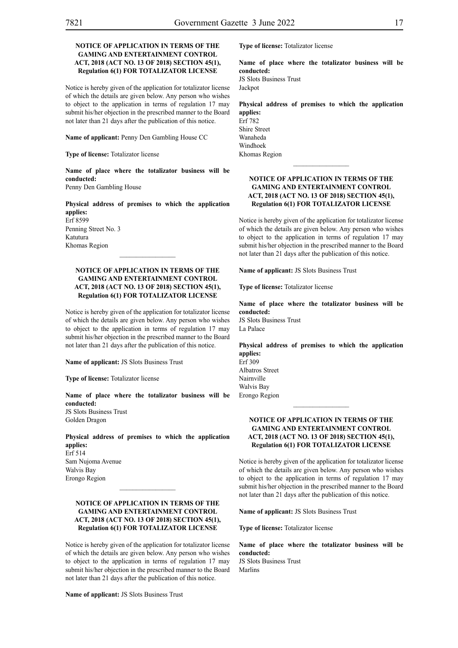#### **NOTICE OF APPLICATION IN TERMS OF THE GAMING AND ENTERTAINMENT CONTROL ACT, 2018 (ACT NO. 13 OF 2018) SECTION 45(1), Regulation 6(1) FOR TOTALIZATOR LICENSE**

Notice is hereby given of the application for totalizator license of which the details are given below. Any person who wishes to object to the application in terms of regulation 17 may submit his/her objection in the prescribed manner to the Board not later than 21 days after the publication of this notice.

**Name of applicant:** Penny Den Gambling House CC

**Type of license:** Totalizator license

**Name of place where the totalizator business will be conducted:** Penny Den Gambling House

**Physical address of premises to which the application applies:** Erf 8599

Penning Street No. 3 Katutura Khomas Region

#### **NOTICE OF APPLICATION IN TERMS OF THE GAMING AND ENTERTAINMENT CONTROL ACT, 2018 (ACT NO. 13 OF 2018) SECTION 45(1), Regulation 6(1) FOR TOTALIZATOR LICENSE**

 $\frac{1}{2}$ 

Notice is hereby given of the application for totalizator license of which the details are given below. Any person who wishes to object to the application in terms of regulation 17 may submit his/her objection in the prescribed manner to the Board not later than 21 days after the publication of this notice.

**Name of applicant:** JS Slots Business Trust

**Type of license:** Totalizator license

**Name of place where the totalizator business will be conducted:** JS Slots Business Trust

Golden Dragon

**Physical address of premises to which the application applies:** Erf 514 Sam Nujoma Avenue Walvis Bay Erongo Region

#### **NOTICE OF APPLICATION IN TERMS OF THE GAMING AND ENTERTAINMENT CONTROL ACT, 2018 (ACT NO. 13 OF 2018) SECTION 45(1), Regulation 6(1) FOR TOTALIZATOR LICENSE**

 $\mathcal{L}_\text{max}$ 

Notice is hereby given of the application for totalizator license of which the details are given below. Any person who wishes to object to the application in terms of regulation 17 may submit his/her objection in the prescribed manner to the Board not later than 21 days after the publication of this notice.

**Name of applicant:** JS Slots Business Trust

**Type of license:** Totalizator license

**Name of place where the totalizator business will be conducted:** JS Slots Business Trust Jackpot

**Physical address of premises to which the application applies:**

Erf 782 Shire Street Wanaheda Windhoek Khomas Region

#### **NOTICE OF APPLICATION IN TERMS OF THE GAMING AND ENTERTAINMENT CONTROL ACT, 2018 (ACT NO. 13 OF 2018) SECTION 45(1), Regulation 6(1) FOR TOTALIZATOR LICENSE**

 $\frac{1}{2}$ 

Notice is hereby given of the application for totalizator license of which the details are given below. Any person who wishes to object to the application in terms of regulation 17 may submit his/her objection in the prescribed manner to the Board not later than 21 days after the publication of this notice.

**Name of applicant:** JS Slots Business Trust

**Type of license:** Totalizator license

**Name of place where the totalizator business will be conducted:** JS Slots Business Trust La Palace

**Physical address of premises to which the application applies:** Erf 309

Albatros Street Nairnville Walvis Bay Erongo Region

#### **NOTICE OF APPLICATION IN TERMS OF THE GAMING AND ENTERTAINMENT CONTROL ACT, 2018 (ACT NO. 13 OF 2018) SECTION 45(1), Regulation 6(1) FOR TOTALIZATOR LICENSE**

 $\frac{1}{2}$ 

Notice is hereby given of the application for totalizator license of which the details are given below. Any person who wishes to object to the application in terms of regulation 17 may submit his/her objection in the prescribed manner to the Board not later than 21 days after the publication of this notice.

**Name of applicant:** JS Slots Business Trust

**Type of license:** Totalizator license

**Name of place where the totalizator business will be conducted:** JS Slots Business Trust Marlins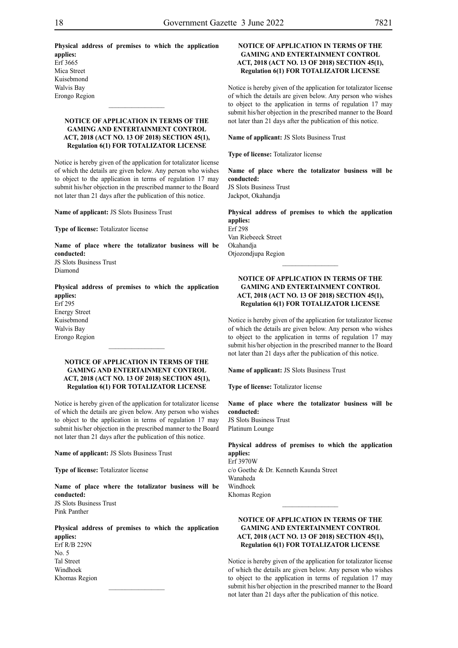**Physical address of premises to which the application applies:** Erf 3665 Mica Street Kuisebmond Walvis Bay

#### **NOTICE OF APPLICATION IN TERMS OF THE GAMING AND ENTERTAINMENT CONTROL ACT, 2018 (ACT NO. 13 OF 2018) SECTION 45(1), Regulation 6(1) FOR TOTALIZATOR LICENSE**

Notice is hereby given of the application for totalizator license of which the details are given below. Any person who wishes to object to the application in terms of regulation 17 may submit his/her objection in the prescribed manner to the Board not later than 21 days after the publication of this notice.

**Name of applicant:** JS Slots Business Trust

**Type of license:** Totalizator license

**Name of place where the totalizator business will be conducted:** JS Slots Business Trust Diamond

**Physical address of premises to which the application applies:** Erf 295 Energy Street Kuisebmond Walvis Bay

#### **NOTICE OF APPLICATION IN TERMS OF THE GAMING AND ENTERTAINMENT CONTROL ACT, 2018 (ACT NO. 13 OF 2018) SECTION 45(1), Regulation 6(1) FOR TOTALIZATOR LICENSE**

 $\frac{1}{2}$ 

Notice is hereby given of the application for totalizator license of which the details are given below. Any person who wishes to object to the application in terms of regulation 17 may submit his/her objection in the prescribed manner to the Board not later than 21 days after the publication of this notice.

**Name of applicant:** JS Slots Business Trust

**Type of license:** Totalizator license

**Name of place where the totalizator business will be conducted:** JS Slots Business Trust Pink Panther

**Physical address of premises to which the application applies:** Erf R/B 229N

 $\frac{1}{2}$ 

No. 5 Tal Street Windhoek Khomas Region

#### **NOTICE OF APPLICATION IN TERMS OF THE GAMING AND ENTERTAINMENT CONTROL ACT, 2018 (ACT NO. 13 OF 2018) SECTION 45(1), Regulation 6(1) FOR TOTALIZATOR LICENSE**

Notice is hereby given of the application for totalizator license of which the details are given below. Any person who wishes to object to the application in terms of regulation 17 may submit his/her objection in the prescribed manner to the Board not later than 21 days after the publication of this notice.

**Name of applicant:** JS Slots Business Trust

**Type of license:** Totalizator license

**Name of place where the totalizator business will be conducted:** JS Slots Business Trust Jackpot, Okahandja

**Physical address of premises to which the application applies:** Erf 298 Van Riebeeck Street Okahandja Otjozondjupa Region

 $\frac{1}{2}$ 

#### **NOTICE OF APPLICATION IN TERMS OF THE GAMING AND ENTERTAINMENT CONTROL ACT, 2018 (ACT NO. 13 OF 2018) SECTION 45(1), Regulation 6(1) FOR TOTALIZATOR LICENSE**

Notice is hereby given of the application for totalizator license of which the details are given below. Any person who wishes to object to the application in terms of regulation 17 may submit his/her objection in the prescribed manner to the Board not later than 21 days after the publication of this notice.

**Name of applicant:** JS Slots Business Trust

**Type of license:** Totalizator license

**Name of place where the totalizator business will be conducted:** JS Slots Business Trust Platinum Lounge

**Physical address of premises to which the application applies:** Erf 3970W c/o Goethe & Dr. Kenneth Kaunda Street Wanaheda

Windhoek Khomas Region  $\frac{1}{2}$ 

#### **NOTICE OF APPLICATION IN TERMS OF THE GAMING AND ENTERTAINMENT CONTROL ACT, 2018 (ACT NO. 13 OF 2018) SECTION 45(1), Regulation 6(1) FOR TOTALIZATOR LICENSE**

Notice is hereby given of the application for totalizator license of which the details are given below. Any person who wishes to object to the application in terms of regulation 17 may submit his/her objection in the prescribed manner to the Board not later than 21 days after the publication of this notice.

Erongo Region

Erongo Region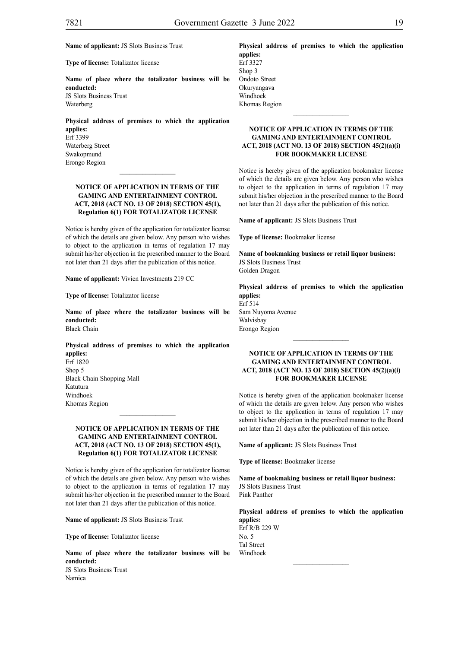**Name of applicant:** JS Slots Business Trust

**Type of license:** Totalizator license

**Name of place where the totalizator business will be conducted:** JS Slots Business Trust Waterberg

**Physical address of premises to which the application applies:** Erf 3399

Waterberg Street Swakopmund Erongo Region

#### **NOTICE OF APPLICATION IN TERMS OF THE GAMING AND ENTERTAINMENT CONTROL ACT, 2018 (ACT NO. 13 OF 2018) SECTION 45(1), Regulation 6(1) FOR TOTALIZATOR LICENSE**

 $\frac{1}{2}$ 

Notice is hereby given of the application for totalizator license of which the details are given below. Any person who wishes to object to the application in terms of regulation 17 may submit his/her objection in the prescribed manner to the Board not later than 21 days after the publication of this notice.

**Name of applicant:** Vivien Investments 219 CC

**Type of license:** Totalizator license

**Name of place where the totalizator business will be conducted:** Black Chain

**Physical address of premises to which the application applies:** Erf 1820 Shop 5 Black Chain Shopping Mall Katutura

Windhoek Khomas Region

#### **NOTICE OF APPLICATION IN TERMS OF THE GAMING AND ENTERTAINMENT CONTROL ACT, 2018 (ACT NO. 13 OF 2018) SECTION 45(1), Regulation 6(1) FOR TOTALIZATOR LICENSE**

Notice is hereby given of the application for totalizator license of which the details are given below. Any person who wishes to object to the application in terms of regulation 17 may submit his/her objection in the prescribed manner to the Board not later than 21 days after the publication of this notice.

**Name of applicant:** JS Slots Business Trust

**Type of license:** Totalizator license

**Name of place where the totalizator business will be conducted:** JS Slots Business Trust Namica

**Physical address of premises to which the application applies:** Erf 3327

Shop 3 Ondoto Street Okuryangava Windhoek Khomas Region

#### **NOTICE OF APPLICATION IN TERMS OF THE GAMING AND ENTERTAINMENT CONTROL ACT, 2018 (ACT NO. 13 OF 2018) SECTION 45(2)(a)(i) FOR BOOKMAKER LICENSE**

 $\frac{1}{2}$ 

Notice is hereby given of the application bookmaker license of which the details are given below. Any person who wishes to object to the application in terms of regulation 17 may submit his/her objection in the prescribed manner to the Board not later than 21 days after the publication of this notice.

**Name of applicant:** JS Slots Business Trust

**Type of license:** Bookmaker license

**Name of bookmaking business or retail liquor business:** JS Slots Business Trust Golden Dragon

**Physical address of premises to which the application applies:** Erf 514 Sam Nuyoma Avenue Walvisbay Erongo Region

 $\frac{1}{2}$ 

#### **NOTICE OF APPLICATION IN TERMS OF THE GAMING AND ENTERTAINMENT CONTROL ACT, 2018 (ACT NO. 13 OF 2018) SECTION 45(2)(a)(i) FOR BOOKMAKER LICENSE**

Notice is hereby given of the application bookmaker license of which the details are given below. Any person who wishes to object to the application in terms of regulation 17 may submit his/her objection in the prescribed manner to the Board not later than 21 days after the publication of this notice.

**Name of applicant:** JS Slots Business Trust

**Type of license:** Bookmaker license

**Name of bookmaking business or retail liquor business:** JS Slots Business Trust Pink Panther

**Physical address of premises to which the application applies:** Erf R/B 229 W No. 5

 $\frac{1}{2}$ 

Tal Street Windhoek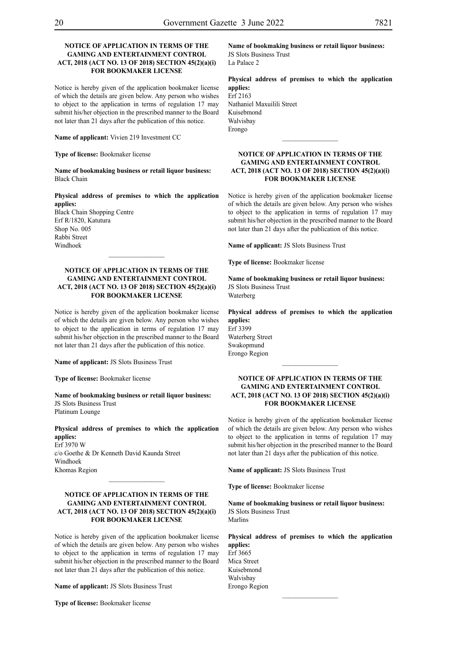Erongo

#### **NOTICE OF APPLICATION IN TERMS OF THE GAMING AND ENTERTAINMENT CONTROL ACT, 2018 (ACT NO. 13 OF 2018) SECTION 45(2)(a)(i) FOR BOOKMAKER LICENSE**

Notice is hereby given of the application bookmaker license of which the details are given below. Any person who wishes to object to the application in terms of regulation 17 may submit his/her objection in the prescribed manner to the Board not later than 21 days after the publication of this notice.

**Name of applicant:** Vivien 219 Investment CC

**Type of license:** Bookmaker license

**Name of bookmaking business or retail liquor business:** Black Chain

**Physical address of premises to which the application applies:**

Black Chain Shopping Centre Erf R/1820, Katutura Shop No. 005 Rabbi Street Windhoek

#### **NOTICE OF APPLICATION IN TERMS OF THE GAMING AND ENTERTAINMENT CONTROL ACT, 2018 (ACT NO. 13 OF 2018) SECTION 45(2)(a)(i) FOR BOOKMAKER LICENSE**

 $\frac{1}{2}$ 

Notice is hereby given of the application bookmaker license of which the details are given below. Any person who wishes to object to the application in terms of regulation 17 may submit his/her objection in the prescribed manner to the Board not later than 21 days after the publication of this notice.

**Name of applicant:** JS Slots Business Trust

**Type of license:** Bookmaker license

**Name of bookmaking business or retail liquor business:** JS Slots Business Trust Platinum Lounge

**Physical address of premises to which the application applies:** Erf 3970 W

c/o Goethe & Dr Kenneth David Kaunda Street Windhoek Khomas Region

#### **NOTICE OF APPLICATION IN TERMS OF THE GAMING AND ENTERTAINMENT CONTROL ACT, 2018 (ACT NO. 13 OF 2018) SECTION 45(2)(a)(i) FOR BOOKMAKER LICENSE**

 $\frac{1}{2}$ 

Notice is hereby given of the application bookmaker license of which the details are given below. Any person who wishes to object to the application in terms of regulation 17 may submit his/her objection in the prescribed manner to the Board not later than 21 days after the publication of this notice.

**Name of applicant:** JS Slots Business Trust

**Type of license:** Bookmaker license

**Name of bookmaking business or retail liquor business:** JS Slots Business Trust La Palace 2

**Physical address of premises to which the application applies:** Erf 2163 Nathaniel Maxuilili Street Kuisebmond Walvisbay

#### **NOTICE OF APPLICATION IN TERMS OF THE GAMING AND ENTERTAINMENT CONTROL ACT, 2018 (ACT NO. 13 OF 2018) SECTION 45(2)(a)(i) FOR BOOKMAKER LICENSE**

 $\overline{\phantom{a}}$  ,  $\overline{\phantom{a}}$  ,  $\overline{\phantom{a}}$  ,  $\overline{\phantom{a}}$  ,  $\overline{\phantom{a}}$  ,  $\overline{\phantom{a}}$  ,  $\overline{\phantom{a}}$  ,  $\overline{\phantom{a}}$  ,  $\overline{\phantom{a}}$  ,  $\overline{\phantom{a}}$  ,  $\overline{\phantom{a}}$  ,  $\overline{\phantom{a}}$  ,  $\overline{\phantom{a}}$  ,  $\overline{\phantom{a}}$  ,  $\overline{\phantom{a}}$  ,  $\overline{\phantom{a}}$ 

Notice is hereby given of the application bookmaker license of which the details are given below. Any person who wishes to object to the application in terms of regulation 17 may submit his/her objection in the prescribed manner to the Board not later than 21 days after the publication of this notice.

**Name of applicant:** JS Slots Business Trust

**Type of license:** Bookmaker license

**Name of bookmaking business or retail liquor business:** JS Slots Business Trust Waterberg

**Physical address of premises to which the application applies:** Erf 3399 Waterberg Street Swakopmund Erongo Region

#### **NOTICE OF APPLICATION IN TERMS OF THE GAMING AND ENTERTAINMENT CONTROL ACT, 2018 (ACT NO. 13 OF 2018) SECTION 45(2)(a)(i) FOR BOOKMAKER LICENSE**

 $\frac{1}{2}$ 

Notice is hereby given of the application bookmaker license of which the details are given below. Any person who wishes to object to the application in terms of regulation 17 may submit his/her objection in the prescribed manner to the Board not later than 21 days after the publication of this notice.

**Name of applicant:** JS Slots Business Trust

**Type of license:** Bookmaker license

**Name of bookmaking business or retail liquor business:** JS Slots Business Trust Marlins

**Physical address of premises to which the application applies:** Erf 3665 Mica Street Kuisebmond Walvisbay Erongo Region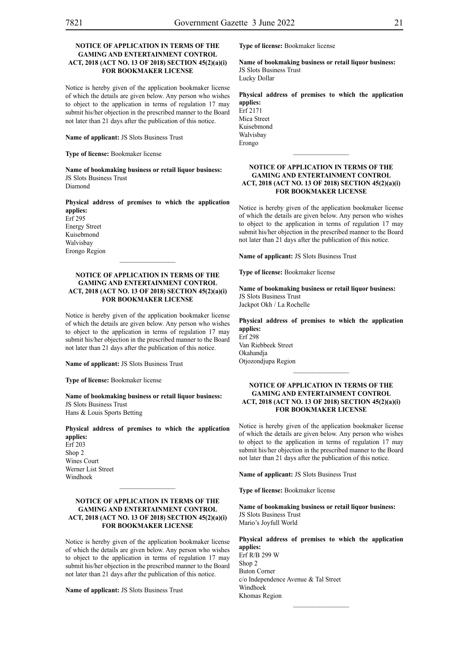#### **NOTICE OF APPLICATION IN TERMS OF THE GAMING AND ENTERTAINMENT CONTROL ACT, 2018 (ACT NO. 13 OF 2018) SECTION 45(2)(a)(i) FOR BOOKMAKER LICENSE**

Notice is hereby given of the application bookmaker license of which the details are given below. Any person who wishes to object to the application in terms of regulation 17 may submit his/her objection in the prescribed manner to the Board not later than 21 days after the publication of this notice.

**Name of applicant:** JS Slots Business Trust

**Type of license:** Bookmaker license

**Name of bookmaking business or retail liquor business:** JS Slots Business Trust Diamond

**Physical address of premises to which the application applies:**

Erf 295 Energy Street Kuisebmond Walvisbay Erongo Region

#### **NOTICE OF APPLICATION IN TERMS OF THE GAMING AND ENTERTAINMENT CONTROL ACT, 2018 (ACT NO. 13 OF 2018) SECTION 45(2)(a)(i) FOR BOOKMAKER LICENSE**

Notice is hereby given of the application bookmaker license of which the details are given below. Any person who wishes to object to the application in terms of regulation 17 may submit his/her objection in the prescribed manner to the Board not later than 21 days after the publication of this notice.

**Name of applicant:** JS Slots Business Trust

**Type of license:** Bookmaker license

**Name of bookmaking business or retail liquor business:** JS Slots Business Trust Hans & Louis Sports Betting

**Physical address of premises to which the application applies:**

Erf 203 Shop 2 Wines Court Werner List Street Windhoek

#### **NOTICE OF APPLICATION IN TERMS OF THE GAMING AND ENTERTAINMENT CONTROL ACT, 2018 (ACT NO. 13 OF 2018) SECTION 45(2)(a)(i) FOR BOOKMAKER LICENSE**

 $\frac{1}{2}$ 

Notice is hereby given of the application bookmaker license of which the details are given below. Any person who wishes to object to the application in terms of regulation 17 may submit his/her objection in the prescribed manner to the Board not later than 21 days after the publication of this notice.

**Name of applicant:** JS Slots Business Trust

**Type of license:** Bookmaker license

**Name of bookmaking business or retail liquor business:** JS Slots Business Trust Lucky Dollar

**Physical address of premises to which the application applies:**

Erf 2171 Mica Street Kuisebmond Walvisbay Erongo

#### **NOTICE OF APPLICATION IN TERMS OF THE GAMING AND ENTERTAINMENT CONTROL ACT, 2018 (ACT NO. 13 OF 2018) SECTION 45(2)(a)(i) FOR BOOKMAKER LICENSE**

 $\frac{1}{2}$ 

Notice is hereby given of the application bookmaker license of which the details are given below. Any person who wishes to object to the application in terms of regulation 17 may submit his/her objection in the prescribed manner to the Board not later than 21 days after the publication of this notice.

**Name of applicant:** JS Slots Business Trust

**Type of license:** Bookmaker license

**Name of bookmaking business or retail liquor business:** JS Slots Business Trust Jackpot Okh / La Rochelle

**Physical address of premises to which the application applies:** Erf 298 Van Riebbeek Street

Okahandja Otjozondjupa Region

#### **NOTICE OF APPLICATION IN TERMS OF THE GAMING AND ENTERTAINMENT CONTROL ACT, 2018 (ACT NO. 13 OF 2018) SECTION 45(2)(a)(i) FOR BOOKMAKER LICENSE**

 $\frac{1}{2}$ 

Notice is hereby given of the application bookmaker license of which the details are given below. Any person who wishes to object to the application in terms of regulation 17 may submit his/her objection in the prescribed manner to the Board not later than 21 days after the publication of this notice.

**Name of applicant:** JS Slots Business Trust

**Type of license:** Bookmaker license

**Name of bookmaking business or retail liquor business:** JS Slots Business Trust Mario's Joyfull World

**Physical address of premises to which the application applies:** Erf R/B 299 W Shop 2 Buton Corner c/o Independence Avenue & Tal Street Windhoek Khomas Region

 $\frac{1}{2}$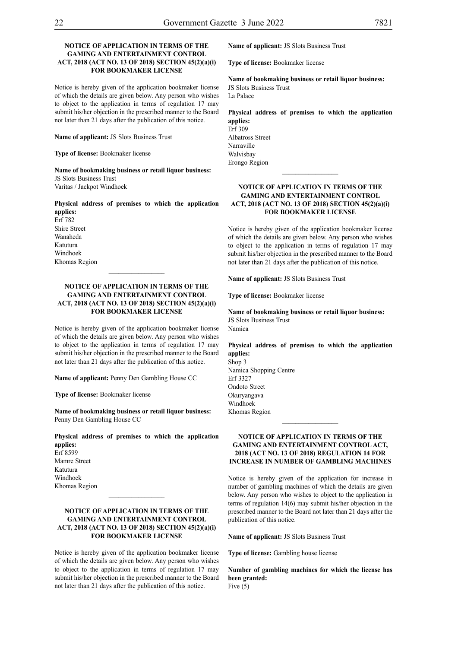#### **NOTICE OF APPLICATION IN TERMS OF THE GAMING AND ENTERTAINMENT CONTROL ACT, 2018 (ACT NO. 13 OF 2018) SECTION 45(2)(a)(i) FOR BOOKMAKER LICENSE**

Notice is hereby given of the application bookmaker license of which the details are given below. Any person who wishes to object to the application in terms of regulation 17 may submit his/her objection in the prescribed manner to the Board not later than 21 days after the publication of this notice.

**Name of applicant:** JS Slots Business Trust

**Type of license:** Bookmaker license

**Name of bookmaking business or retail liquor business:** JS Slots Business Trust

Varitas / Jackpot Windhoek

#### **Physical address of premises to which the application applies:**

Erf 782 Shire Street Wanaheda Katutura Windhoek Khomas Region

#### **NOTICE OF APPLICATION IN TERMS OF THE GAMING AND ENTERTAINMENT CONTROL ACT, 2018 (ACT NO. 13 OF 2018) SECTION 45(2)(a)(i) FOR BOOKMAKER LICENSE**

 $\frac{1}{2}$ 

Notice is hereby given of the application bookmaker license of which the details are given below. Any person who wishes to object to the application in terms of regulation 17 may submit his/her objection in the prescribed manner to the Board not later than 21 days after the publication of this notice.

**Name of applicant:** Penny Den Gambling House CC

**Type of license:** Bookmaker license

**Name of bookmaking business or retail liquor business:** Penny Den Gambling House CC

**Physical address of premises to which the application applies:**

Erf 8599 Mamre Street Katutura Windhoek Khomas Region

#### **NOTICE OF APPLICATION IN TERMS OF THE GAMING AND ENTERTAINMENT CONTROL ACT, 2018 (ACT NO. 13 OF 2018) SECTION 45(2)(a)(i) FOR BOOKMAKER LICENSE**

 $\frac{1}{2}$ 

Notice is hereby given of the application bookmaker license of which the details are given below. Any person who wishes to object to the application in terms of regulation 17 may submit his/her objection in the prescribed manner to the Board not later than 21 days after the publication of this notice.

**Name of applicant:** JS Slots Business Trust

**Type of license:** Bookmaker license

**Name of bookmaking business or retail liquor business:** JS Slots Business Trust

La Palace

**Physical address of premises to which the application applies:** Erf 309 Albatross Street Narraville Walvisbay Erongo Region

#### **NOTICE OF APPLICATION IN TERMS OF THE GAMING AND ENTERTAINMENT CONTROL ACT, 2018 (ACT NO. 13 OF 2018) SECTION 45(2)(a)(i) FOR BOOKMAKER LICENSE**

 $\frac{1}{2}$ 

Notice is hereby given of the application bookmaker license of which the details are given below. Any person who wishes to object to the application in terms of regulation 17 may submit his/her objection in the prescribed manner to the Board not later than 21 days after the publication of this notice.

**Name of applicant:** JS Slots Business Trust

**Type of license:** Bookmaker license

**Name of bookmaking business or retail liquor business:** JS Slots Business Trust Namica

**Physical address of premises to which the application applies:** Shop 3 Namica Shopping Centre Erf 3327 Ondoto Street Okuryangava

Windhoek Khomas Region

#### **NOTICE OF APPLICATION IN TERMS OF THE GAMING AND ENTERTAINMENT CONTROL ACT, 2018 (ACT NO. 13 OF 2018) REGULATION 14 FOR INCREASE IN NUMBER OF GAMBLING MACHINES**

 $\frac{1}{2}$ 

Notice is hereby given of the application for increase in number of gambling machines of which the details are given below. Any person who wishes to object to the application in terms of regulation 14(6) may submit his/her objection in the prescribed manner to the Board not later than 21 days after the publication of this notice.

**Name of applicant:** JS Slots Business Trust

**Type of license:** Gambling house license

**Number of gambling machines for which the license has been granted:** Five  $(5)$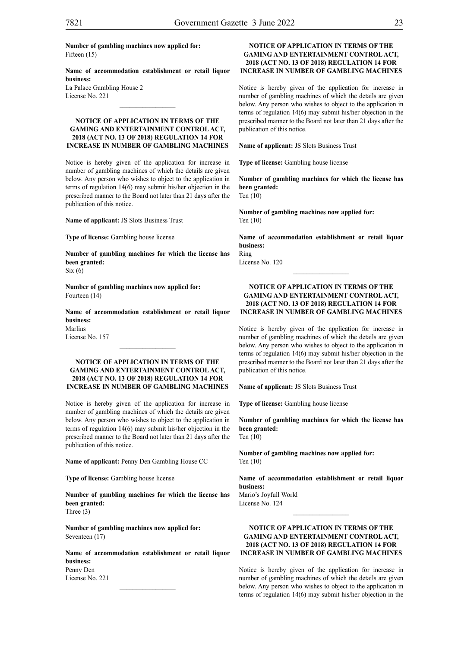**Name of accommodation establishment or retail liquor business:**

La Palace Gambling House 2 License No. 221

#### **NOTICE OF APPLICATION IN TERMS OF THE GAMING AND ENTERTAINMENT CONTROL ACT, 2018 (ACT NO. 13 OF 2018) REGULATION 14 FOR INCREASE IN NUMBER OF GAMBLING MACHINES**

Notice is hereby given of the application for increase in number of gambling machines of which the details are given below. Any person who wishes to object to the application in terms of regulation 14(6) may submit his/her objection in the prescribed manner to the Board not later than 21 days after the publication of this notice.

**Name of applicant:** JS Slots Business Trust

**Type of license:** Gambling house license

**Number of gambling machines for which the license has been granted:**  $Six(6)$ 

**Number of gambling machines now applied for:** Fourteen (14)

**Name of accommodation establishment or retail liquor business:** Marlins License No. 157

 $\frac{1}{2}$ 

#### **NOTICE OF APPLICATION IN TERMS OF THE GAMING AND ENTERTAINMENT CONTROL ACT, 2018 (ACT NO. 13 OF 2018) REGULATION 14 FOR INCREASE IN NUMBER OF GAMBLING MACHINES**

Notice is hereby given of the application for increase in number of gambling machines of which the details are given below. Any person who wishes to object to the application in terms of regulation 14(6) may submit his/her objection in the prescribed manner to the Board not later than 21 days after the publication of this notice.

**Name of applicant:** Penny Den Gambling House CC

**Type of license:** Gambling house license

**Number of gambling machines for which the license has been granted:** Three (3)

**Number of gambling machines now applied for:** Seventeen (17)

**Name of accommodation establishment or retail liquor business:** Penny Den

License No. 221  $\frac{1}{2}$ 

#### **NOTICE OF APPLICATION IN TERMS OF THE GAMING AND ENTERTAINMENT CONTROL ACT, 2018 (ACT NO. 13 OF 2018) REGULATION 14 FOR INCREASE IN NUMBER OF GAMBLING MACHINES**

Notice is hereby given of the application for increase in number of gambling machines of which the details are given below. Any person who wishes to object to the application in terms of regulation 14(6) may submit his/her objection in the prescribed manner to the Board not later than 21 days after the publication of this notice.

**Name of applicant:** JS Slots Business Trust

**Type of license:** Gambling house license

**Number of gambling machines for which the license has been granted:** Ten (10)

**Number of gambling machines now applied for:** Ten (10)

**Name of accommodation establishment or retail liquor business:** Ring

License No. 120

#### **NOTICE OF APPLICATION IN TERMS OF THE GAMING AND ENTERTAINMENT CONTROL ACT, 2018 (ACT NO. 13 OF 2018) REGULATION 14 FOR INCREASE IN NUMBER OF GAMBLING MACHINES**

Notice is hereby given of the application for increase in number of gambling machines of which the details are given below. Any person who wishes to object to the application in terms of regulation 14(6) may submit his/her objection in the prescribed manner to the Board not later than 21 days after the publication of this notice.

**Name of applicant:** JS Slots Business Trust

**Type of license:** Gambling house license

**Number of gambling machines for which the license has been granted:** Ten (10)

**Number of gambling machines now applied for:** Ten (10)

**Name of accommodation establishment or retail liquor business:**

Mario's Joyfull World License No. 124

#### **NOTICE OF APPLICATION IN TERMS OF THE GAMING AND ENTERTAINMENT CONTROL ACT, 2018 (ACT NO. 13 OF 2018) REGULATION 14 FOR INCREASE IN NUMBER OF GAMBLING MACHINES**

 $\frac{1}{2}$ 

Notice is hereby given of the application for increase in number of gambling machines of which the details are given below. Any person who wishes to object to the application in terms of regulation 14(6) may submit his/her objection in the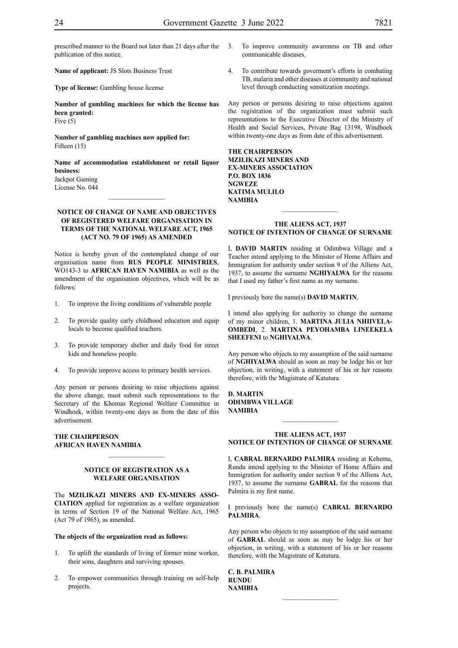prescribed manner to the Board not later than 21 days after the publication of this notice.

**Name of applicant:** JS Slots Business Trust

**Type of license:** Gambling house license

**Number of gambling machines for which the license has been granted:** Five (5)

**Number of gambling machines now applied for:** Fifteen (15)

**Name of accommodation establishment or retail liquor business:** Jackpot Gaming

 $\frac{1}{2}$ 

License No. 044

#### **NOTICE OF CHANGE OF NAME AND OBJECTIVES OF REGISTERED WELFARE ORGANISATION IN TERMS OF THE NATIONAL WELFARE ACT, 1965 (ACT NO. 79 OF 1965) AS AMENDED**

Notice is hereby given of the contemplated change of our organisation name from **RUS PEOPLE MINISTRIES**, WO143-3 to **AFRICAN HAVEN NAMIBIA** as well as the amendment of the organisation objectives, which will be as follows:

- 1. To improve the living conditions of vulnerable people
- 2. To provide quality early childhood education and equip locals to become qualified teachers.
- 3. To provide temporary shelter and daily food for street kids and homeless people.
- 4. To provide improve access to primary health services.

Any person or persons desiring to raise objections against the above change, must submit such representations to the Secretary of the Khomas Regional Welfare Committee in Windhoek, within twenty-one days as from the date of this advertisement.

#### **THE CHAIRPERSON AFRICAN HAVEN NAMIBIA**

#### **NOTICE OF REGISTRATION AS A WELFARE ORGANISATION**

 $\frac{1}{2}$ 

The **MZILIKAZI MINERS AND EX-MINERS ASSO-CIATION** applied for registration as a welfare organization in terms of Section 19 of the National Welfare Act, 1965 (Act 79 of 1965), as amended.

#### **The objects of the organization read as follows:**

- 1. To uplift the standards of living of former mine worker, their sons, daughters and surviving spouses.
- 2. To empower communities through training on self-help projects.
- 3. To improve community awareness on TB and other communicable diseases.
- 4. To contribute towards goverment's efforts in combating TB, malaria and other diseases at community and national level through conducting sensitization meetings.

Any person or persons desiring to raise objections against the registration of the organization must submit such representations to the Executive Director of the Ministry of Health and Social Services, Private Bag 13198, Windhoek within twenty-one days as from date of this advertisement.

**THE CHAIRPERSON MZILIKAZI MINERS AND EX-MINERS ASSOCIATION P.O. BOX 1836 NGWEZE KATIMA MULILO NAMIBIA**

#### **THE ALIENS ACT, 1937 NOTICE OF INTENTION OF CHANGE OF SURNAME**

 $\frac{1}{2}$ 

I, **DAVID MARTIN** residing at Odimbwa Village and a Teacher intend applying to the Minister of Home Affairs and Immigration for authority under section 9 of the Alliens Act, 1937, to assume the surname **NGHIYALWA** for the reasons that I used my father's first name as my surname.

I previously bore the name(s) **DAVID MARTIN**.

I intend also applying for authority to change the surname of my minor children, 1. **MARTINA JULIA NHIIVELA-OMBEDI**, 2. **MARTINA PEYOHAMBA LINEEKELA SHEEFENI** to **NGHIYALWA**.

Any person who objects to my assumption of the said surname of **NGHIYALWA** should as soon as may be lodge his or her objection, in writing, with a statement of his or her reasons therefore, with the Magistrate of Katutura.

**D. MARTIN ODIMBWA VILLAGE NAMIBIA**

#### **THE ALIENS ACT, 1937 NOTICE OF INTENTION OF CHANGE OF SURNAME**

 $\frac{1}{2}$ 

I, **CABRAL BERNARDO PALMIRA** residing at Kehemu, Rundu intend applying to the Minister of Home Affairs and Immigration for authority under section 9 of the Alliens Act, 1937, to assume the surname **GABRAL** for the reasons that Palmira is my first name.

I previously bore the name(s) **CABRAL BERNARDO PALMIRA**.

Any person who objects to my assumption of the said surname of **GABRAL** should as soon as may be lodge his or her objection, in writing, with a statement of his or her reasons therefore, with the Magistrate of Katutura.

 $\mathcal{L}_\text{max}$ 

**C. B. PALMIRA RUNDU NAMIBIA**